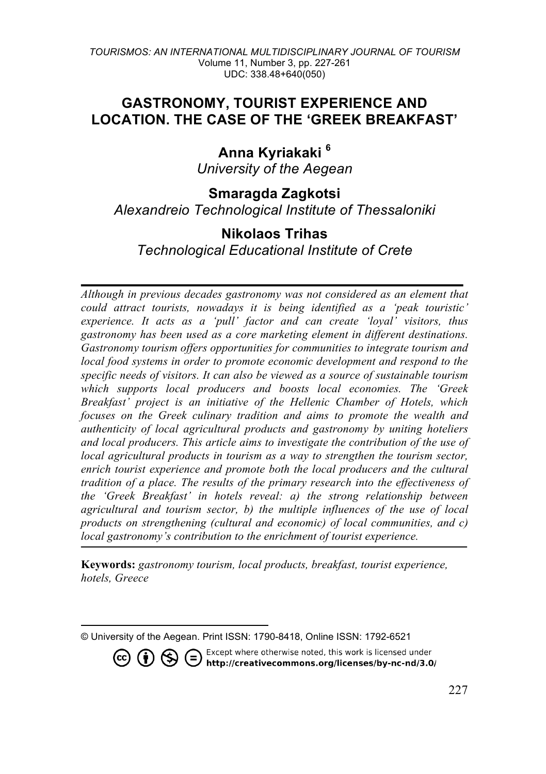# **GASTRONOMY, TOURIST EXPERIENCE AND LOCATION. THE CASE OF THE 'GREEK BREAKFAST'**

**Anna Kyriakaki <sup>6</sup>** *University of the Aegean*

**Smaragda Zagkotsi** *Alexandreio Technological Institute of Thessaloniki*

# **Nikolaos Trihas**

*Technological Educational Institute of Crete*

*Although in previous decades gastronomy was not considered as an element that could attract tourists, nowadays it is being identified as a 'peak touristic' experience. It acts as a 'pull' factor and can create 'loyal' visitors, thus gastronomy has been used as a core marketing element in different destinations. Gastronomy tourism offers opportunities for communities to integrate tourism and local food systems in order to promote economic development and respond to the specific needs of visitors. It can also be viewed as a source of sustainable tourism which supports local producers and boosts local economies. The 'Greek Breakfast' project is an initiative of the Hellenic Chamber of Hotels, which focuses on the Greek culinary tradition and aims to promote the wealth and authenticity of local agricultural products and gastronomy by uniting hoteliers and local producers. This article aims to investigate the contribution of the use of local agricultural products in tourism as a way to strengthen the tourism sector, enrich tourist experience and promote both the local producers and the cultural tradition of a place. The results of the primary research into the effectiveness of the 'Greek Breakfast' in hotels reveal: a) the strong relationship between agricultural and tourism sector, b) the multiple influences of the use of local products on strengthening (cultural and economic) of local communities, and c) local gastronomy's contribution to the enrichment of tourist experience.*

**Keywords:** *gastronomy tourism, local products, breakfast, tourist experience, hotels, Greece*

<sup>1</sup> © University of the Aegean. Print ISSN: 1790-8418, Online ISSN: 1792-6521

Except where otherwise noted, this work is licensed under<br>http://creativecommons.org/licenses/by-nc-nd/3.0/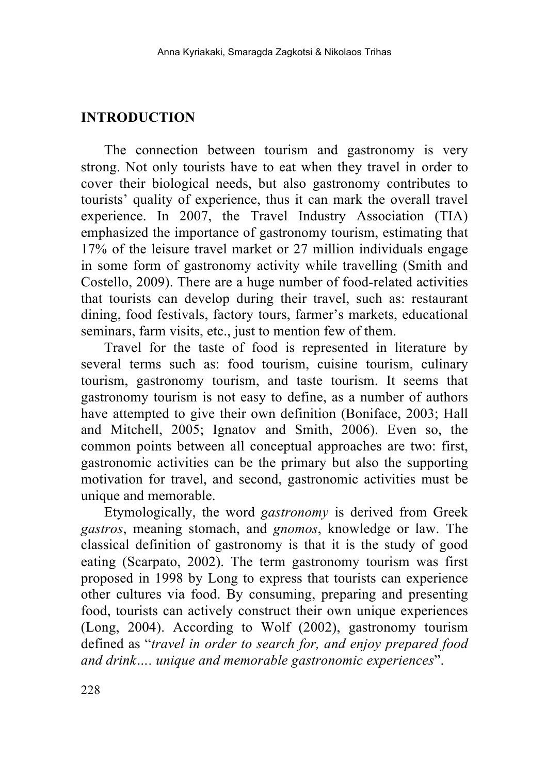## **INTRODUCTION**

The connection between tourism and gastronomy is very strong. Not only tourists have to eat when they travel in order to cover their biological needs, but also gastronomy contributes to tourists' quality of experience, thus it can mark the overall travel experience. In 2007, the Travel Industry Association (TIA) emphasized the importance of gastronomy tourism, estimating that 17% of the leisure travel market or 27 million individuals engage in some form of gastronomy activity while travelling (Smith and Costello, 2009). There are a huge number of food-related activities that tourists can develop during their travel, such as: restaurant dining, food festivals, factory tours, farmer's markets, educational seminars, farm visits, etc., just to mention few of them.

Travel for the taste of food is represented in literature by several terms such as: food tourism, cuisine tourism, culinary tourism, gastronomy tourism, and taste tourism. It seems that gastronomy tourism is not easy to define, as a number of authors have attempted to give their own definition (Boniface, 2003; Hall and Mitchell, 2005; Ignatov and Smith, 2006). Even so, the common points between all conceptual approaches are two: first, gastronomic activities can be the primary but also the supporting motivation for travel, and second, gastronomic activities must be unique and memorable.

Etymologically, the word *gastronomy* is derived from Greek *gastros*, meaning stomach, and *gnomos*, knowledge or law. The classical definition of gastronomy is that it is the study of good eating (Scarpato, 2002). The term gastronomy tourism was first proposed in 1998 by Long to express that tourists can experience other cultures via food. By consuming, preparing and presenting food, tourists can actively construct their own unique experiences (Long, 2004). According to Wolf (2002), gastronomy tourism defined as "*travel in order to search for, and enjoy prepared food and drink…. unique and memorable gastronomic experiences*".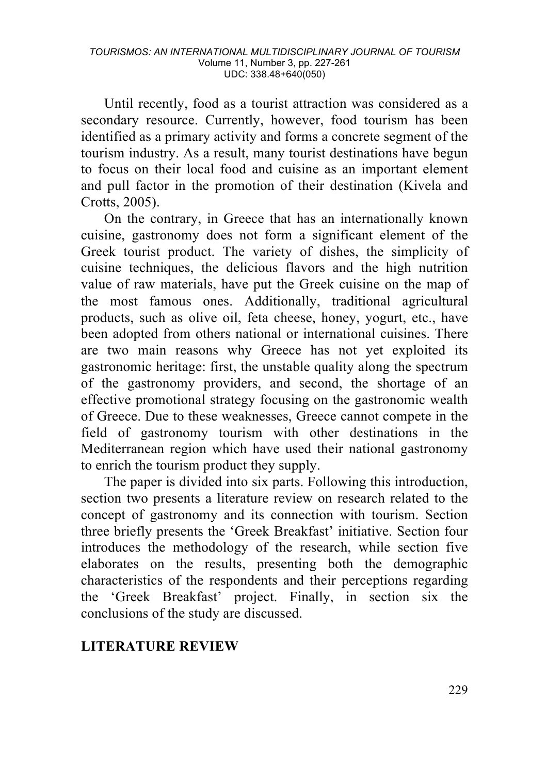Until recently, food as a tourist attraction was considered as a secondary resource. Currently, however, food tourism has been identified as a primary activity and forms a concrete segment of the tourism industry. As a result, many tourist destinations have begun to focus on their local food and cuisine as an important element and pull factor in the promotion of their destination (Kivela and Crotts, 2005).

On the contrary, in Greece that has an internationally known cuisine, gastronomy does not form a significant element of the Greek tourist product. The variety of dishes, the simplicity of cuisine techniques, the delicious flavors and the high nutrition value of raw materials, have put the Greek cuisine on the map of the most famous ones. Additionally, traditional agricultural products, such as olive oil, feta cheese, honey, yogurt, etc., have been adopted from others national or international cuisines. There are two main reasons why Greece has not yet exploited its gastronomic heritage: first, the unstable quality along the spectrum of the gastronomy providers, and second, the shortage of an effective promotional strategy focusing on the gastronomic wealth of Greece. Due to these weaknesses, Greece cannot compete in the field of gastronomy tourism with other destinations in the Mediterranean region which have used their national gastronomy to enrich the tourism product they supply.

The paper is divided into six parts. Following this introduction, section two presents a literature review on research related to the concept of gastronomy and its connection with tourism. Section three briefly presents the 'Greek Breakfast' initiative. Section four introduces the methodology of the research, while section five elaborates on the results, presenting both the demographic characteristics of the respondents and their perceptions regarding the 'Greek Breakfast' project. Finally, in section six the conclusions of the study are discussed.

## **LITERATURE REVIEW**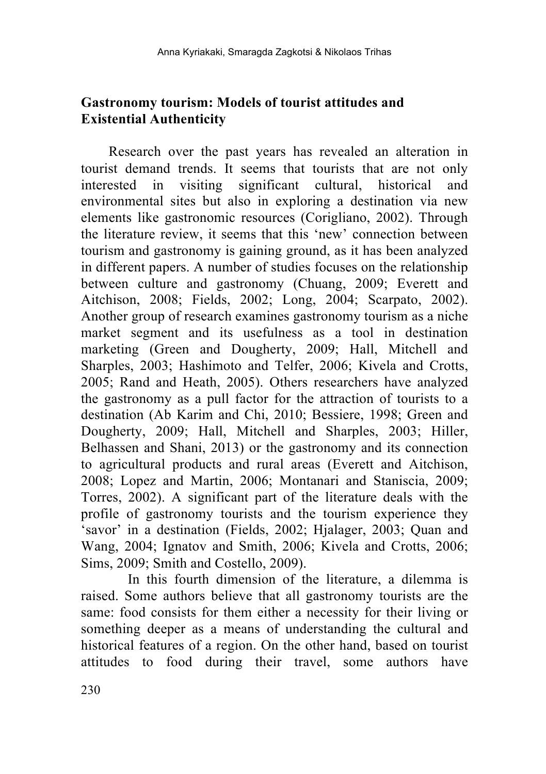# **Gastronomy tourism: Models of tourist attitudes and Existential Authenticity**

Research over the past years has revealed an alteration in tourist demand trends. It seems that tourists that are not only interested in visiting significant cultural, historical and environmental sites but also in exploring a destination via new elements like gastronomic resources (Corigliano, 2002). Through the literature review, it seems that this 'new' connection between tourism and gastronomy is gaining ground, as it has been analyzed in different papers. A number of studies focuses on the relationship between culture and gastronomy (Chuang, 2009; Everett and Aitchison, 2008; Fields, 2002; Long, 2004; Scarpato, 2002). Another group of research examines gastronomy tourism as a niche market segment and its usefulness as a tool in destination marketing (Green and Dougherty, 2009; Hall, Mitchell and Sharples, 2003; Hashimoto and Telfer, 2006; Kivela and Crotts, 2005; Rand and Heath, 2005). Others researchers have analyzed the gastronomy as a pull factor for the attraction of tourists to a destination (Ab Karim and Chi, 2010; Bessiere, 1998; Green and Dougherty, 2009; Hall, Mitchell and Sharples, 2003; Hiller, Belhassen and Shani, 2013) or the gastronomy and its connection to agricultural products and rural areas (Everett and Aitchison, 2008; Lopez and Martin, 2006; Montanari and Staniscia, 2009; Torres, 2002). A significant part of the literature deals with the profile of gastronomy tourists and the tourism experience they 'savor' in a destination (Fields, 2002; Hjalager, 2003; Quan and Wang, 2004; Ignatov and Smith, 2006; Kivela and Crotts, 2006; Sims, 2009; Smith and Costello, 2009).

In this fourth dimension of the literature, a dilemma is raised. Some authors believe that all gastronomy tourists are the same: food consists for them either a necessity for their living or something deeper as a means of understanding the cultural and historical features of a region. On the other hand, based on tourist attitudes to food during their travel, some authors have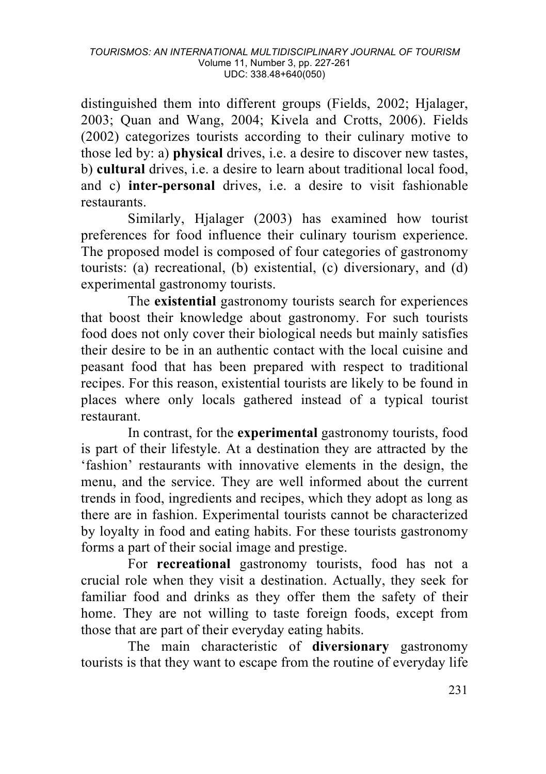distinguished them into different groups (Fields, 2002; Hjalager, 2003; Quan and Wang, 2004; Kivela and Crotts, 2006). Fields (2002) categorizes tourists according to their culinary motive to those led by: a) **physical** drives, i.e. a desire to discover new tastes, b) **cultural** drives, i.e. a desire to learn about traditional local food, and c) **inter-personal** drives, i.e. a desire to visit fashionable restaurants.

Similarly, Hjalager (2003) has examined how tourist preferences for food influence their culinary tourism experience. The proposed model is composed of four categories of gastronomy tourists: (a) recreational, (b) existential, (c) diversionary, and (d) experimental gastronomy tourists.

The **existential** gastronomy tourists search for experiences that boost their knowledge about gastronomy. For such tourists food does not only cover their biological needs but mainly satisfies their desire to be in an authentic contact with the local cuisine and peasant food that has been prepared with respect to traditional recipes. For this reason, existential tourists are likely to be found in places where only locals gathered instead of a typical tourist restaurant.

In contrast, for the **experimental** gastronomy tourists, food is part of their lifestyle. At a destination they are attracted by the 'fashion' restaurants with innovative elements in the design, the menu, and the service. They are well informed about the current trends in food, ingredients and recipes, which they adopt as long as there are in fashion. Experimental tourists cannot be characterized by loyalty in food and eating habits. For these tourists gastronomy forms a part of their social image and prestige.

For **recreational** gastronomy tourists, food has not a crucial role when they visit a destination. Actually, they seek for familiar food and drinks as they offer them the safety of their home. They are not willing to taste foreign foods, except from those that are part of their everyday eating habits.

The main characteristic of **diversionary** gastronomy tourists is that they want to escape from the routine of everyday life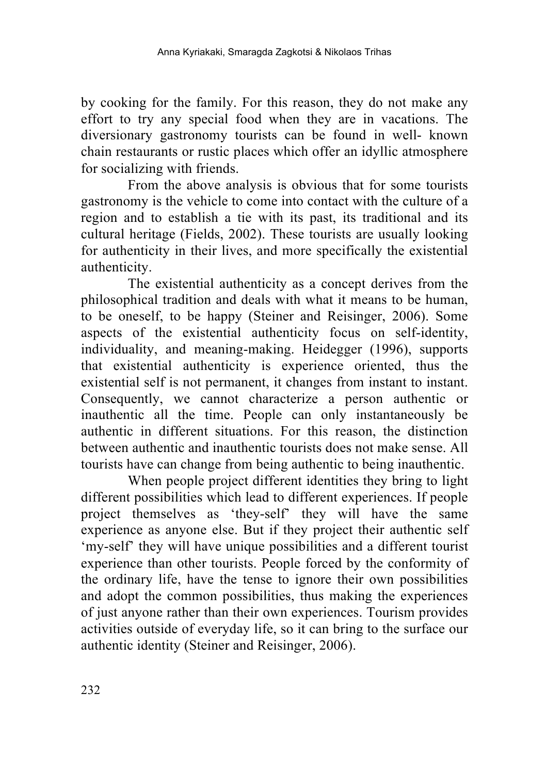by cooking for the family. For this reason, they do not make any effort to try any special food when they are in vacations. The diversionary gastronomy tourists can be found in well- known chain restaurants or rustic places which offer an idyllic atmosphere for socializing with friends.

From the above analysis is obvious that for some tourists gastronomy is the vehicle to come into contact with the culture of a region and to establish a tie with its past, its traditional and its cultural heritage (Fields, 2002). These tourists are usually looking for authenticity in their lives, and more specifically the existential authenticity.

The existential authenticity as a concept derives from the philosophical tradition and deals with what it means to be human, to be oneself, to be happy (Steiner and Reisinger, 2006). Some aspects of the existential authenticity focus on self-identity, individuality, and meaning-making. Heidegger (1996), supports that existential authenticity is experience oriented, thus the existential self is not permanent, it changes from instant to instant. Consequently, we cannot characterize a person authentic or inauthentic all the time. People can only instantaneously be authentic in different situations. For this reason, the distinction between authentic and inauthentic tourists does not make sense. All tourists have can change from being authentic to being inauthentic.

When people project different identities they bring to light different possibilities which lead to different experiences. If people project themselves as 'they-self' they will have the same experience as anyone else. But if they project their authentic self 'my-self' they will have unique possibilities and a different tourist experience than other tourists. People forced by the conformity of the ordinary life, have the tense to ignore their own possibilities and adopt the common possibilities, thus making the experiences of just anyone rather than their own experiences. Tourism provides activities outside of everyday life, so it can bring to the surface our authentic identity (Steiner and Reisinger, 2006).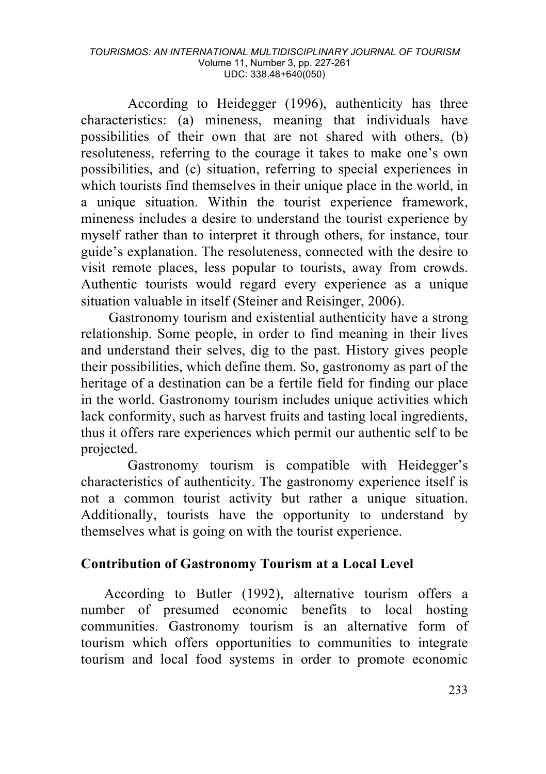#### *TOURISMOS: AN INTERNATIONAL MULTIDISCIPLINARY JOURNAL OF TOURISM* Volume 11, Number 3, pp. 227-261 UDC: 338.48+640(050)

According to Heidegger (1996), authenticity has three characteristics: (a) mineness, meaning that individuals have possibilities of their own that are not shared with others, (b) resoluteness, referring to the courage it takes to make one's own possibilities, and (c) situation, referring to special experiences in which tourists find themselves in their unique place in the world, in a unique situation. Within the tourist experience framework, mineness includes a desire to understand the tourist experience by myself rather than to interpret it through others, for instance, tour guide's explanation. The resoluteness, connected with the desire to visit remote places, less popular to tourists, away from crowds. Authentic tourists would regard every experience as a unique situation valuable in itself (Steiner and Reisinger, 2006).

Gastronomy tourism and existential authenticity have a strong relationship. Some people, in order to find meaning in their lives and understand their selves, dig to the past. History gives people their possibilities, which define them. So, gastronomy as part of the heritage of a destination can be a fertile field for finding our place in the world. Gastronomy tourism includes unique activities which lack conformity, such as harvest fruits and tasting local ingredients, thus it offers rare experiences which permit our authentic self to be projected.

Gastronomy tourism is compatible with Heidegger's characteristics of authenticity. The gastronomy experience itself is not a common tourist activity but rather a unique situation. Additionally, tourists have the opportunity to understand by themselves what is going on with the tourist experience.

### **Contribution of Gastronomy Tourism at a Local Level**

According to Butler (1992), alternative tourism offers a number of presumed economic benefits to local hosting communities. Gastronomy tourism is an alternative form of tourism which offers opportunities to communities to integrate tourism and local food systems in order to promote economic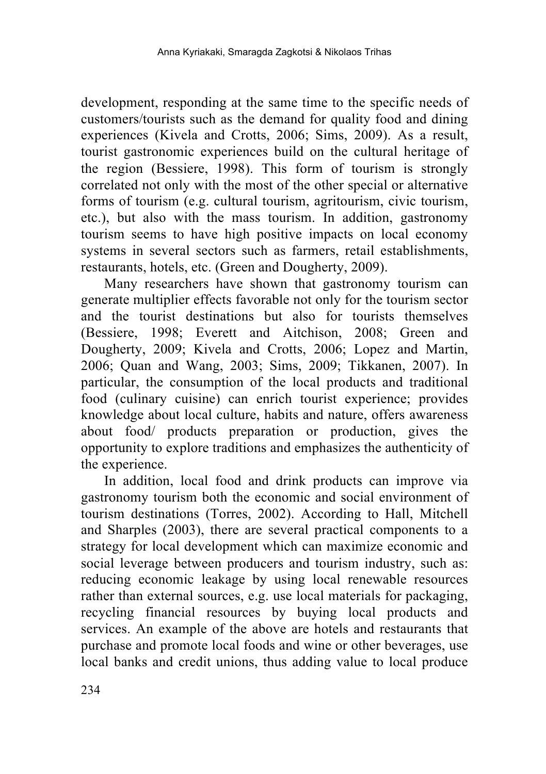development, responding at the same time to the specific needs of customers/tourists such as the demand for quality food and dining experiences (Kivela and Crotts, 2006; Sims, 2009). As a result, tourist gastronomic experiences build on the cultural heritage of the region (Bessiere, 1998). This form of tourism is strongly correlated not only with the most of the other special or alternative forms of tourism (e.g. cultural tourism, agritourism, civic tourism, etc.), but also with the mass tourism. In addition, gastronomy tourism seems to have high positive impacts on local economy systems in several sectors such as farmers, retail establishments, restaurants, hotels, etc. (Green and Dougherty, 2009).

Many researchers have shown that gastronomy tourism can generate multiplier effects favorable not only for the tourism sector and the tourist destinations but also for tourists themselves (Bessiere, 1998; Everett and Aitchison, 2008; Green and Dougherty, 2009; Kivela and Crotts, 2006; Lopez and Martin, 2006; Quan and Wang, 2003; Sims, 2009; Tikkanen, 2007). In particular, the consumption of the local products and traditional food (culinary cuisine) can enrich tourist experience; provides knowledge about local culture, habits and nature, offers awareness about food/ products preparation or production, gives the opportunity to explore traditions and emphasizes the authenticity of the experience.

In addition, local food and drink products can improve via gastronomy tourism both the economic and social environment of tourism destinations (Torres, 2002). According to Hall, Mitchell and Sharples (2003), there are several practical components to a strategy for local development which can maximize economic and social leverage between producers and tourism industry, such as: reducing economic leakage by using local renewable resources rather than external sources, e.g. use local materials for packaging, recycling financial resources by buying local products and services. An example of the above are hotels and restaurants that purchase and promote local foods and wine or other beverages, use local banks and credit unions, thus adding value to local produce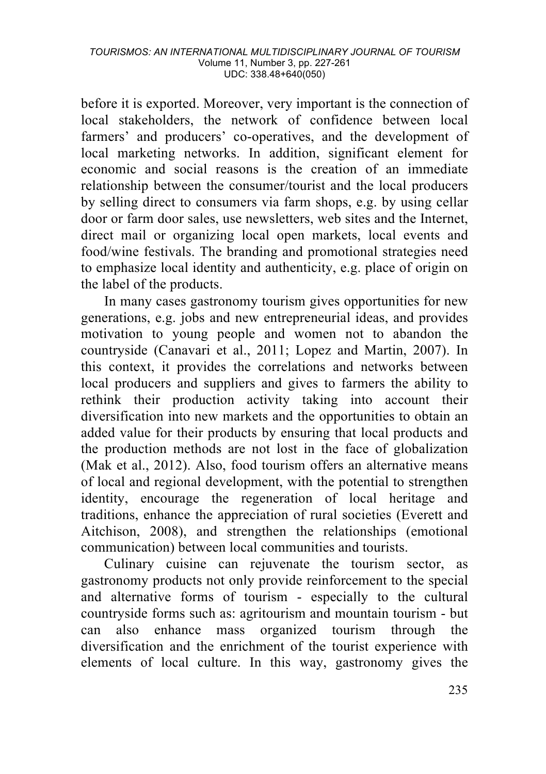before it is exported. Moreover, very important is the connection of local stakeholders, the network of confidence between local farmers' and producers' co-operatives, and the development of local marketing networks. In addition, significant element for economic and social reasons is the creation of an immediate relationship between the consumer/tourist and the local producers by selling direct to consumers via farm shops, e.g. by using cellar door or farm door sales, use newsletters, web sites and the Internet, direct mail or organizing local open markets, local events and food/wine festivals. The branding and promotional strategies need to emphasize local identity and authenticity, e.g. place of origin on the label of the products.

In many cases gastronomy tourism gives opportunities for new generations, e.g. jobs and new entrepreneurial ideas, and provides motivation to young people and women not to abandon the countryside (Canavari et al., 2011; Lopez and Martin, 2007). In this context, it provides the correlations and networks between local producers and suppliers and gives to farmers the ability to rethink their production activity taking into account their diversification into new markets and the opportunities to obtain an added value for their products by ensuring that local products and the production methods are not lost in the face of globalization (Mak et al., 2012). Also, food tourism offers an alternative means of local and regional development, with the potential to strengthen identity, encourage the regeneration of local heritage and traditions, enhance the appreciation of rural societies (Everett and Aitchison, 2008), and strengthen the relationships (emotional communication) between local communities and tourists.

Culinary cuisine can rejuvenate the tourism sector, as gastronomy products not only provide reinforcement to the special and alternative forms of tourism - especially to the cultural countryside forms such as: agritourism and mountain tourism - but can also enhance mass organized tourism through the diversification and the enrichment of the tourist experience with elements of local culture. In this way, gastronomy gives the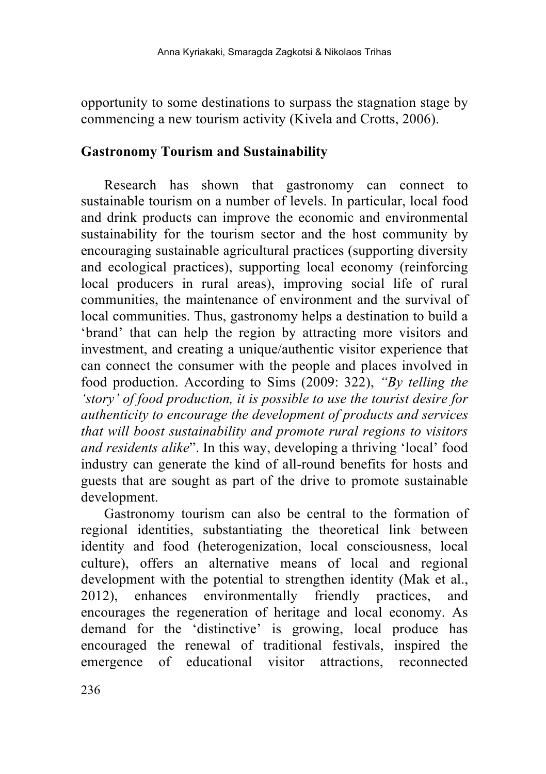opportunity to some destinations to surpass the stagnation stage by commencing a new tourism activity (Kivela and Crotts, 2006).

### **Gastronomy Tourism and Sustainability**

Research has shown that gastronomy can connect to sustainable tourism on a number of levels. In particular, local food and drink products can improve the economic and environmental sustainability for the tourism sector and the host community by encouraging sustainable agricultural practices (supporting diversity and ecological practices), supporting local economy (reinforcing local producers in rural areas), improving social life of rural communities, the maintenance of environment and the survival of local communities. Thus, gastronomy helps a destination to build a 'brand' that can help the region by attracting more visitors and investment, and creating a unique/authentic visitor experience that can connect the consumer with the people and places involved in food production. According to Sims (2009: 322), *"By telling the 'story' of food production, it is possible to use the tourist desire for authenticity to encourage the development of products and services that will boost sustainability and promote rural regions to visitors and residents alike*". In this way, developing a thriving 'local' food industry can generate the kind of all-round benefits for hosts and guests that are sought as part of the drive to promote sustainable development.

Gastronomy tourism can also be central to the formation of regional identities, substantiating the theoretical link between identity and food (heterogenization, local consciousness, local culture), offers an alternative means of local and regional development with the potential to strengthen identity (Mak et al., 2012), enhances environmentally friendly practices, and encourages the regeneration of heritage and local economy. As demand for the 'distinctive' is growing, local produce has encouraged the renewal of traditional festivals, inspired the emergence of educational visitor attractions, reconnected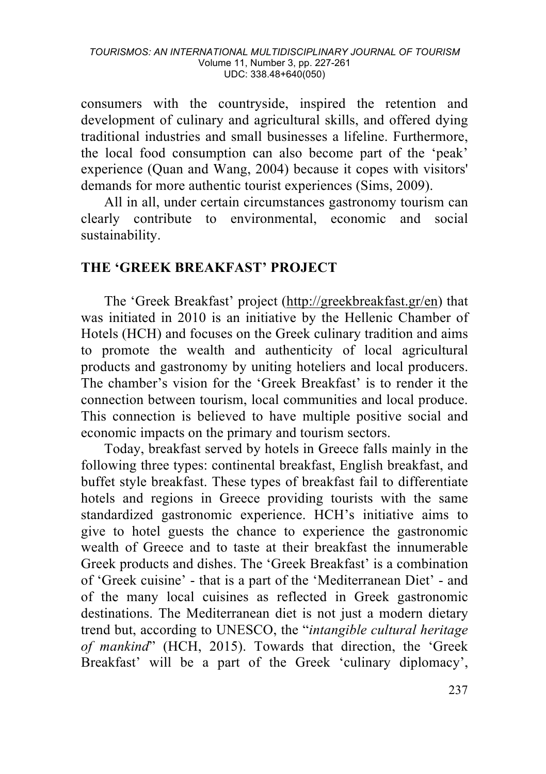#### *TOURISMOS: AN INTERNATIONAL MULTIDISCIPLINARY JOURNAL OF TOURISM* Volume 11, Number 3, pp. 227-261 UDC: 338.48+640(050)

consumers with the countryside, inspired the retention and development of culinary and agricultural skills, and offered dying traditional industries and small businesses a lifeline. Furthermore, the local food consumption can also become part of the 'peak' experience (Quan and Wang, 2004) because it copes with visitors' demands for more authentic tourist experiences (Sims, 2009).

All in all, under certain circumstances gastronomy tourism can clearly contribute to environmental, economic and social sustainability.

### **THE 'GREEK BREAKFAST' PROJECT**

The 'Greek Breakfast' project (http://greekbreakfast.gr/en) that was initiated in 2010 is an initiative by the Hellenic Chamber of Hotels (HCH) and focuses on the Greek culinary tradition and aims to promote the wealth and authenticity of local agricultural products and gastronomy by uniting hoteliers and local producers. The chamber's vision for the 'Greek Breakfast' is to render it the connection between tourism, local communities and local produce. This connection is believed to have multiple positive social and economic impacts on the primary and tourism sectors.

Today, breakfast served by hotels in Greece falls mainly in the following three types: continental breakfast, English breakfast, and buffet style breakfast. These types of breakfast fail to differentiate hotels and regions in Greece providing tourists with the same standardized gastronomic experience. HCH's initiative aims to give to hotel guests the chance to experience the gastronomic wealth of Greece and to taste at their breakfast the innumerable Greek products and dishes. The 'Greek Breakfast' is a combination of 'Greek cuisine' - that is a part of the 'Mediterranean Diet' - and of the many local cuisines as reflected in Greek gastronomic destinations. The Mediterranean diet is not just a modern dietary trend but, according to UNESCO, the "*intangible cultural heritage of mankind*" (HCH, 2015). Towards that direction, the 'Greek Breakfast' will be a part of the Greek 'culinary diplomacy',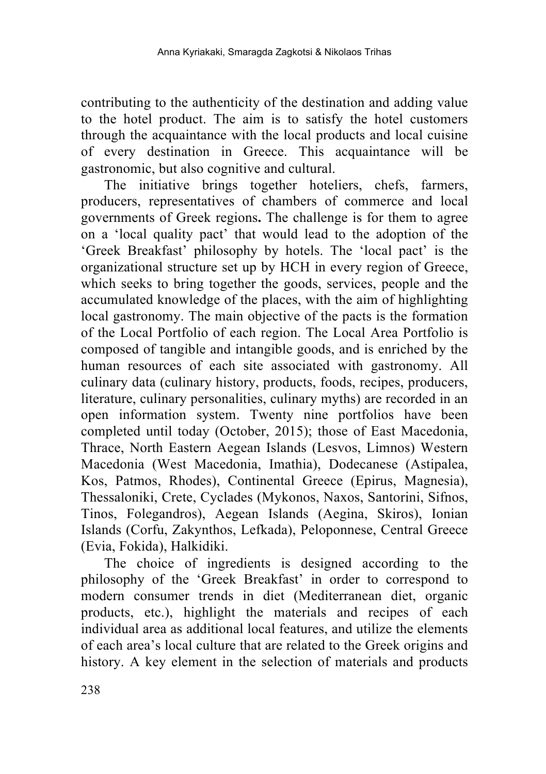contributing to the authenticity of the destination and adding value to the hotel product. The aim is to satisfy the hotel customers through the acquaintance with the local products and local cuisine of every destination in Greece. This acquaintance will be gastronomic, but also cognitive and cultural.

The initiative brings together hoteliers, chefs, farmers, producers, representatives of chambers of commerce and local governments of Greek regions**.** The challenge is for them to agree on a 'local quality pact' that would lead to the adoption of the 'Greek Breakfast' philosophy by hotels. The 'local pact' is the organizational structure set up by HCH in every region of Greece, which seeks to bring together the goods, services, people and the accumulated knowledge of the places, with the aim of highlighting local gastronomy. The main objective of the pacts is the formation of the Local Portfolio of each region. The Local Area Portfolio is composed of tangible and intangible goods, and is enriched by the human resources of each site associated with gastronomy. All culinary data (culinary history, products, foods, recipes, producers, literature, culinary personalities, culinary myths) are recorded in an open information system. Twenty nine portfolios have been completed until today (October, 2015); those of East Macedonia, Thrace, North Eastern Aegean Islands (Lesvos, Limnos) Western Macedonia (West Macedonia, Imathia), Dodecanese (Astipalea, Kos, Patmos, Rhodes), Continental Greece (Epirus, Magnesia), Thessaloniki, Crete, Cyclades (Mykonos, Naxos, Santorini, Sifnos, Tinos, Folegandros), Aegean Islands (Aegina, Skiros), Ionian Islands (Corfu, Zakynthos, Lefkada), Peloponnese, Central Greece (Evia, Fokida), Halkidiki.

The choice of ingredients is designed according to the philosophy of the 'Greek Breakfast' in order to correspond to modern consumer trends in diet (Mediterranean diet, organic products, etc.), highlight the materials and recipes of each individual area as additional local features, and utilize the elements of each area's local culture that are related to the Greek origins and history. A key element in the selection of materials and products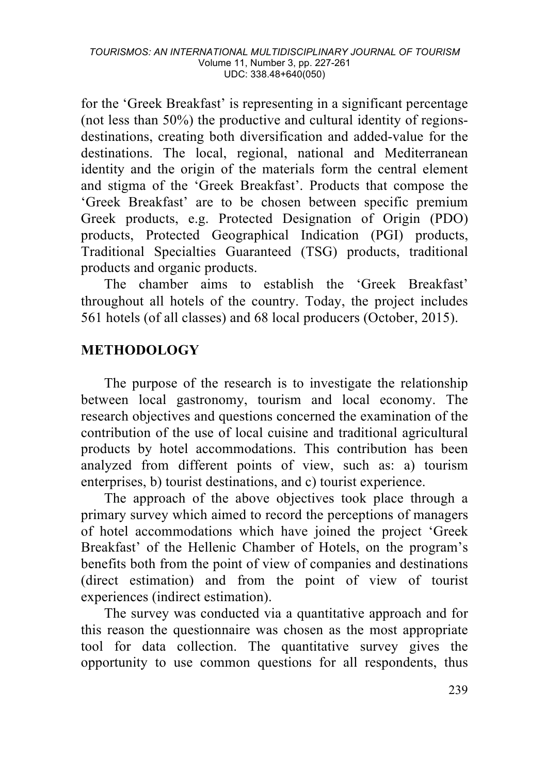for the 'Greek Breakfast' is representing in a significant percentage (not less than 50%) the productive and cultural identity of regionsdestinations, creating both diversification and added-value for the destinations. The local, regional, national and Mediterranean identity and the origin of the materials form the central element and stigma of the 'Greek Breakfast'. Products that compose the 'Greek Breakfast' are to be chosen between specific premium Greek products, e.g. Protected Designation of Origin (PDO) products, Protected Geographical Indication (PGI) products, Traditional Specialties Guaranteed (TSG) products, traditional products and organic products.

The chamber aims to establish the 'Greek Breakfast' throughout all hotels of the country. Today, the project includes 561 hotels (of all classes) and 68 local producers (October, 2015).

# **METHODOLOGY**

The purpose of the research is to investigate the relationship between local gastronomy, tourism and local economy. The research objectives and questions concerned the examination of the contribution of the use of local cuisine and traditional agricultural products by hotel accommodations. This contribution has been analyzed from different points of view, such as: a) tourism enterprises, b) tourist destinations, and c) tourist experience.

The approach of the above objectives took place through a primary survey which aimed to record the perceptions of managers of hotel accommodations which have joined the project 'Greek Breakfast' of the Hellenic Chamber of Hotels, on the program's benefits both from the point of view of companies and destinations (direct estimation) and from the point of view of tourist experiences (indirect estimation).

The survey was conducted via a quantitative approach and for this reason the questionnaire was chosen as the most appropriate tool for data collection. The quantitative survey gives the opportunity to use common questions for all respondents, thus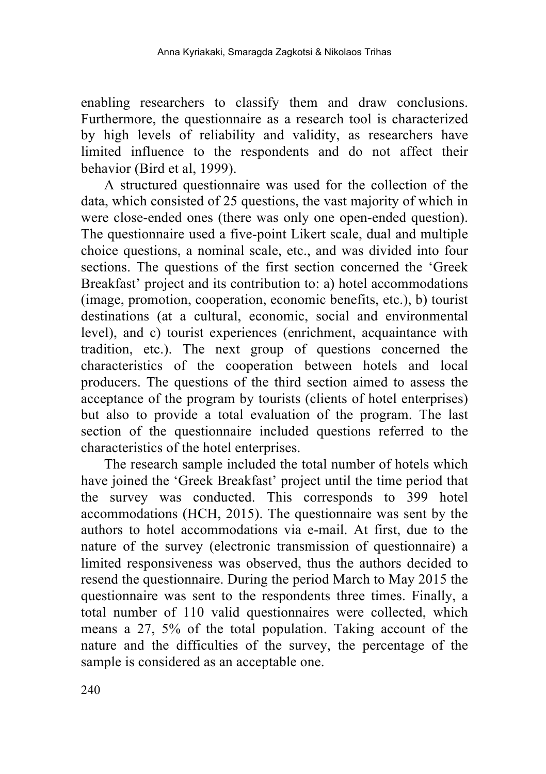enabling researchers to classify them and draw conclusions. Furthermore, the questionnaire as a research tool is characterized by high levels of reliability and validity, as researchers have limited influence to the respondents and do not affect their behavior (Bird et al, 1999).

A structured questionnaire was used for the collection of the data, which consisted of 25 questions, the vast majority of which in were close-ended ones (there was only one open-ended question). The questionnaire used a five-point Likert scale, dual and multiple choice questions, a nominal scale, etc., and was divided into four sections. The questions of the first section concerned the 'Greek Breakfast' project and its contribution to: a) hotel accommodations (image, promotion, cooperation, economic benefits, etc.), b) tourist destinations (at a cultural, economic, social and environmental level), and c) tourist experiences (enrichment, acquaintance with tradition, etc.). The next group of questions concerned the characteristics of the cooperation between hotels and local producers. The questions of the third section aimed to assess the acceptance of the program by tourists (clients of hotel enterprises) but also to provide a total evaluation of the program. The last section of the questionnaire included questions referred to the characteristics of the hotel enterprises.

The research sample included the total number of hotels which have joined the 'Greek Breakfast' project until the time period that the survey was conducted. This corresponds to 399 hotel accommodations (HCH, 2015). The questionnaire was sent by the authors to hotel accommodations via e-mail. At first, due to the nature of the survey (electronic transmission of questionnaire) a limited responsiveness was observed, thus the authors decided to resend the questionnaire. During the period March to May 2015 the questionnaire was sent to the respondents three times. Finally, a total number of 110 valid questionnaires were collected, which means a 27, 5% of the total population. Taking account of the nature and the difficulties of the survey, the percentage of the sample is considered as an acceptable one.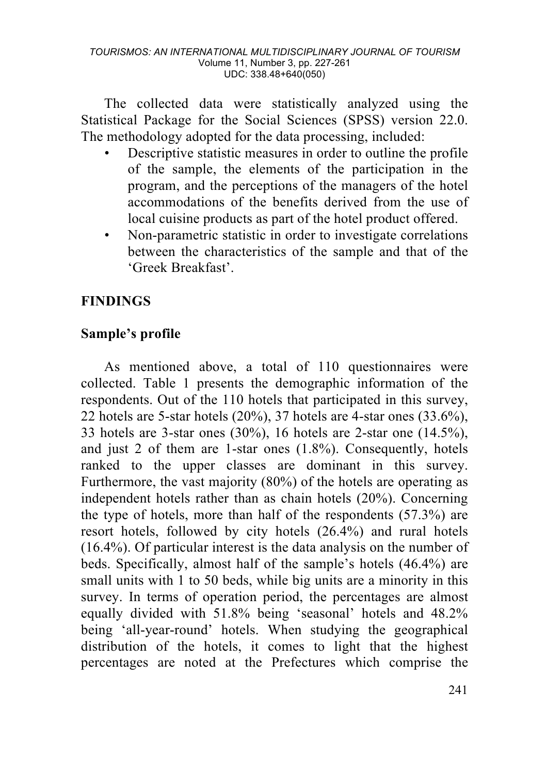The collected data were statistically analyzed using the Statistical Package for the Social Sciences (SPSS) version 22.0. The methodology adopted for the data processing, included:

- Descriptive statistic measures in order to outline the profile of the sample, the elements of the participation in the program, and the perceptions of the managers of the hotel accommodations of the benefits derived from the use of local cuisine products as part of the hotel product offered.
- Non-parametric statistic in order to investigate correlations between the characteristics of the sample and that of the 'Greek Breakfast'.

# **FINDINGS**

# **Sample's profile**

As mentioned above, a total of 110 questionnaires were collected. Table 1 presents the demographic information of the respondents. Out of the 110 hotels that participated in this survey, 22 hotels are 5-star hotels (20%), 37 hotels are 4-star ones (33.6%), 33 hotels are 3-star ones (30%), 16 hotels are 2-star one (14.5%), and just 2 of them are 1-star ones (1.8%). Consequently, hotels ranked to the upper classes are dominant in this survey. Furthermore, the vast majority (80%) of the hotels are operating as independent hotels rather than as chain hotels (20%). Concerning the type of hotels, more than half of the respondents (57.3%) are resort hotels, followed by city hotels (26.4%) and rural hotels (16.4%). Of particular interest is the data analysis on the number of beds. Specifically, almost half of the sample's hotels (46.4%) are small units with 1 to 50 beds, while big units are a minority in this survey. In terms of operation period, the percentages are almost equally divided with 51.8% being 'seasonal' hotels and 48.2% being 'all-year-round' hotels. When studying the geographical distribution of the hotels, it comes to light that the highest percentages are noted at the Prefectures which comprise the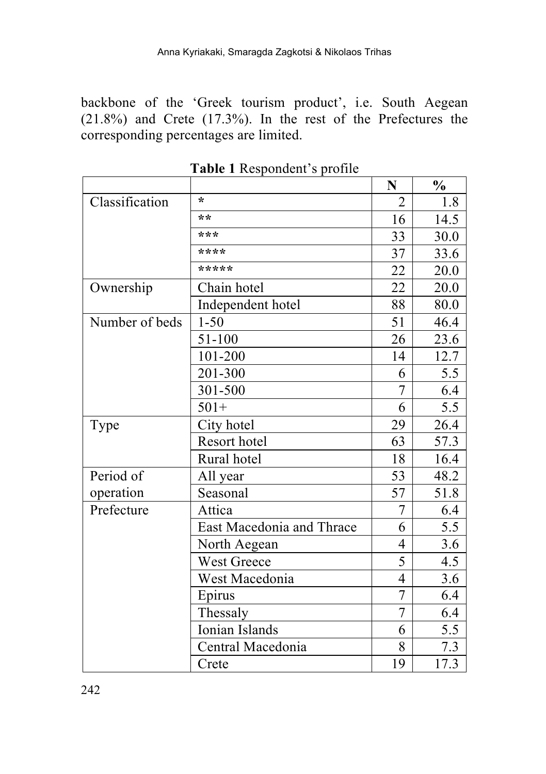backbone of the 'Greek tourism product', i.e. South Aegean (21.8%) and Crete (17.3%). In the rest of the Prefectures the corresponding percentages are limited.

|                |                           | N               | $\frac{1}{2}$ |
|----------------|---------------------------|-----------------|---------------|
| Classification | $\star$                   | $\overline{2}$  | 1.8           |
|                | $**$                      | 16              | 14.5          |
|                | $* * *$                   | 33              | 30.0          |
|                | ****                      | 37              | 33.6          |
|                | *****                     | 22              | 20.0          |
| Ownership      | Chain hotel               | 22              | 20.0          |
|                | Independent hotel         | 88              | 80.0          |
| Number of beds | $1 - 50$                  | $\overline{51}$ | 46.4          |
|                | 51-100                    | 26              | 23.6          |
|                | 101-200                   | 14              | 12.7          |
|                | 201-300                   | 6               | 5.5           |
|                | 301-500                   | 7               | 6.4           |
|                | $501+$                    | 6               | 5.5           |
| Type           | City hotel                | 29              | 26.4          |
|                | Resort hotel              | 63              | 57.3          |
|                | Rural hotel               | 18              | 16.4          |
| Period of      | All year                  | 53              | 48.2          |
| operation      | Seasonal                  | $\overline{57}$ | 51.8          |
| Prefecture     | Attica                    | 7               | 6.4           |
|                | East Macedonia and Thrace | 6               | 5.5           |
|                | North Aegean              | 4               | 3.6           |
|                | West Greece               | 5               | 4.5           |
|                | West Macedonia            | $\overline{4}$  | 3.6           |
|                | Epirus                    | $\overline{7}$  | 6.4           |
|                | Thessaly                  | 7               | 6.4           |
|                | Ionian Islands            | 6               | 5.5           |
|                | Central Macedonia         | 8               | 7.3           |
|                | Crete                     | 19              | 17.3          |

**Table 1** Respondent's profile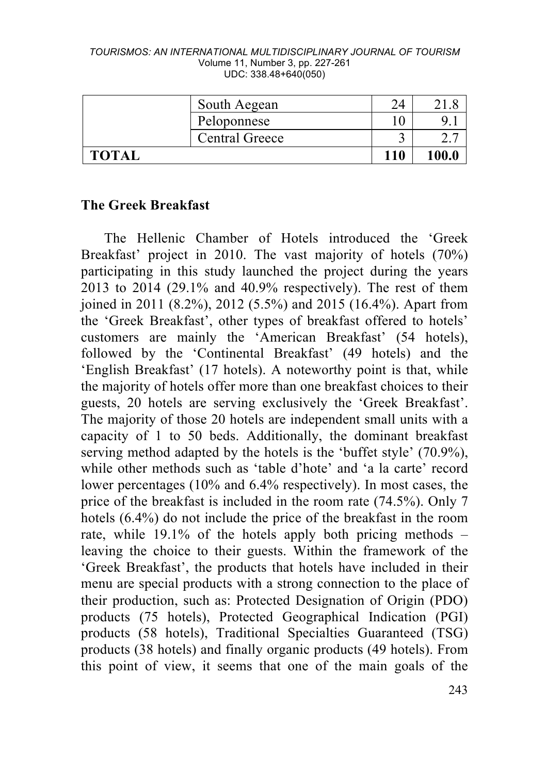#### *TOURISMOS: AN INTERNATIONAL MULTIDISCIPLINARY JOURNAL OF TOURISM* Volume 11, Number 3, pp. 227-261 UDC: 338.48+640(050)

| South Aegean   | 24  |       |
|----------------|-----|-------|
| Peloponnese    | 10  |       |
| Central Greece |     |       |
| <b>TOTAL</b>   | 110 | 100.0 |

### **The Greek Breakfast**

The Hellenic Chamber of Hotels introduced the 'Greek Breakfast' project in 2010. The vast majority of hotels (70%) participating in this study launched the project during the years 2013 to 2014 (29.1% and 40.9% respectively). The rest of them joined in 2011 (8.2%), 2012 (5.5%) and 2015 (16.4%). Apart from the 'Greek Breakfast', other types of breakfast offered to hotels' customers are mainly the 'American Breakfast' (54 hotels), followed by the 'Continental Breakfast' (49 hotels) and the 'English Breakfast' (17 hotels). A noteworthy point is that, while the majority of hotels offer more than one breakfast choices to their guests, 20 hotels are serving exclusively the 'Greek Breakfast'. The majority of those 20 hotels are independent small units with a capacity of 1 to 50 beds. Additionally, the dominant breakfast serving method adapted by the hotels is the 'buffet style' (70.9%), while other methods such as 'table d'hote' and 'a la carte' record lower percentages (10% and 6.4% respectively). In most cases, the price of the breakfast is included in the room rate (74.5%). Only 7 hotels (6.4%) do not include the price of the breakfast in the room rate, while 19.1% of the hotels apply both pricing methods – leaving the choice to their guests. Within the framework of the 'Greek Breakfast', the products that hotels have included in their menu are special products with a strong connection to the place of their production, such as: Protected Designation of Origin (PDO) products (75 hotels), Protected Geographical Indication (PGI) products (58 hotels), Traditional Specialties Guaranteed (TSG) products (38 hotels) and finally organic products (49 hotels). From this point of view, it seems that one of the main goals of the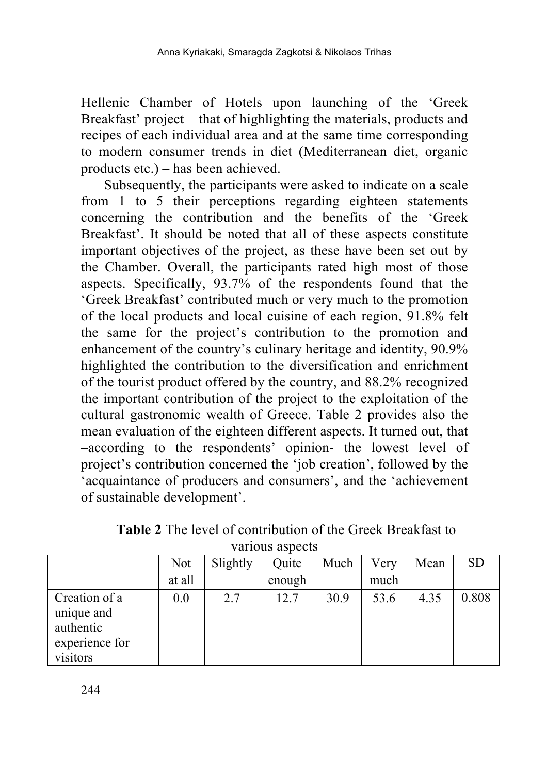Hellenic Chamber of Hotels upon launching of the 'Greek Breakfast' project – that of highlighting the materials, products and recipes of each individual area and at the same time corresponding to modern consumer trends in diet (Mediterranean diet, organic products etc.) – has been achieved.

Subsequently, the participants were asked to indicate on a scale from 1 to 5 their perceptions regarding eighteen statements concerning the contribution and the benefits of the 'Greek Breakfast'. It should be noted that all of these aspects constitute important objectives of the project, as these have been set out by the Chamber. Overall, the participants rated high most of those aspects. Specifically, 93.7% of the respondents found that the 'Greek Breakfast' contributed much or very much to the promotion of the local products and local cuisine of each region, 91.8% felt the same for the project's contribution to the promotion and enhancement of the country's culinary heritage and identity, 90.9% highlighted the contribution to the diversification and enrichment of the tourist product offered by the country, and 88.2% recognized the important contribution of the project to the exploitation of the cultural gastronomic wealth of Greece. Table 2 provides also the mean evaluation of the eighteen different aspects. It turned out, that –according to the respondents' opinion- the lowest level of project's contribution concerned the 'job creation', followed by the 'acquaintance of producers and consumers', and the 'achievement of sustainable development'.

|                                                                        | Not    | Slightly | Quite  | Much | Verv | Mean | <b>SD</b> |
|------------------------------------------------------------------------|--------|----------|--------|------|------|------|-----------|
|                                                                        | at all |          | enough |      | much |      |           |
| Creation of a<br>unique and<br>authentic<br>experience for<br>visitors | 0.0    | 2.7      | 12.7   | 30.9 | 53.6 | 4.35 | 0.808     |

**Table 2** The level of contribution of the Greek Breakfast to various aspects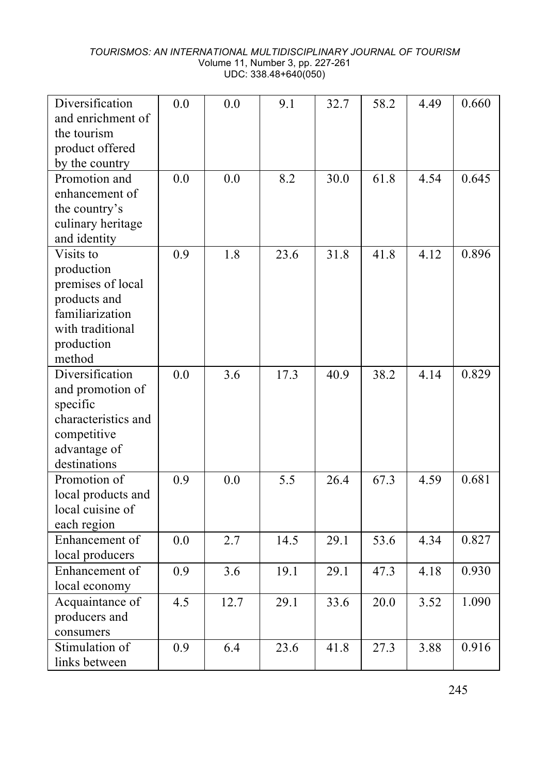#### *TOURISMOS: AN INTERNATIONAL MULTIDISCIPLINARY JOURNAL OF TOURISM* Volume 11, Number 3, pp. 227-261 UDC: 338.48+640(050)

| Diversification     | 0.0 | 0.0  | 9.1  | 32.7 | 58.2              | 4.49 | 0.660 |
|---------------------|-----|------|------|------|-------------------|------|-------|
| and enrichment of   |     |      |      |      |                   |      |       |
| the tourism         |     |      |      |      |                   |      |       |
| product offered     |     |      |      |      |                   |      |       |
| by the country      |     |      |      |      |                   |      |       |
| Promotion and       | 0.0 | 0.0  | 8.2  | 30.0 | 61.8              | 4.54 | 0.645 |
| enhancement of      |     |      |      |      |                   |      |       |
| the country's       |     |      |      |      |                   |      |       |
| culinary heritage   |     |      |      |      |                   |      |       |
| and identity        |     |      |      |      |                   |      |       |
| Visits to           | 0.9 | 1.8  | 23.6 | 31.8 | 41.8              | 4.12 | 0.896 |
| production          |     |      |      |      |                   |      |       |
| premises of local   |     |      |      |      |                   |      |       |
| products and        |     |      |      |      |                   |      |       |
| familiarization     |     |      |      |      |                   |      |       |
| with traditional    |     |      |      |      |                   |      |       |
| production          |     |      |      |      |                   |      |       |
| method              |     |      |      |      |                   |      |       |
| Diversification     | 0.0 | 3.6  | 17.3 | 40.9 | 38.2              | 4.14 | 0.829 |
| and promotion of    |     |      |      |      |                   |      |       |
| specific            |     |      |      |      |                   |      |       |
| characteristics and |     |      |      |      |                   |      |       |
| competitive         |     |      |      |      |                   |      |       |
| advantage of        |     |      |      |      |                   |      |       |
| destinations        |     |      |      |      |                   |      |       |
| Promotion of        | 0.9 | 0.0  | 5.5  | 26.4 | 67.3              | 4.59 | 0.681 |
| local products and  |     |      |      |      |                   |      |       |
| local cuisine of    |     |      |      |      |                   |      |       |
| each region         |     |      |      |      |                   |      |       |
| Enhancement of      | 0.0 | 2.7  | 14.5 | 29.1 | $\overline{53.6}$ | 4.34 | 0.827 |
| local producers     |     |      |      |      |                   |      |       |
| Enhancement of      | 0.9 | 3.6  | 19.1 | 29.1 | 47.3              | 4.18 | 0.930 |
| local economy       |     |      |      |      |                   |      |       |
| Acquaintance of     | 4.5 | 12.7 | 29.1 | 33.6 | 20.0              | 3.52 | 1.090 |
| producers and       |     |      |      |      |                   |      |       |
| consumers           |     |      |      |      |                   |      |       |
| Stimulation of      | 0.9 | 6.4  | 23.6 | 41.8 | 27.3              | 3.88 | 0.916 |
| links between       |     |      |      |      |                   |      |       |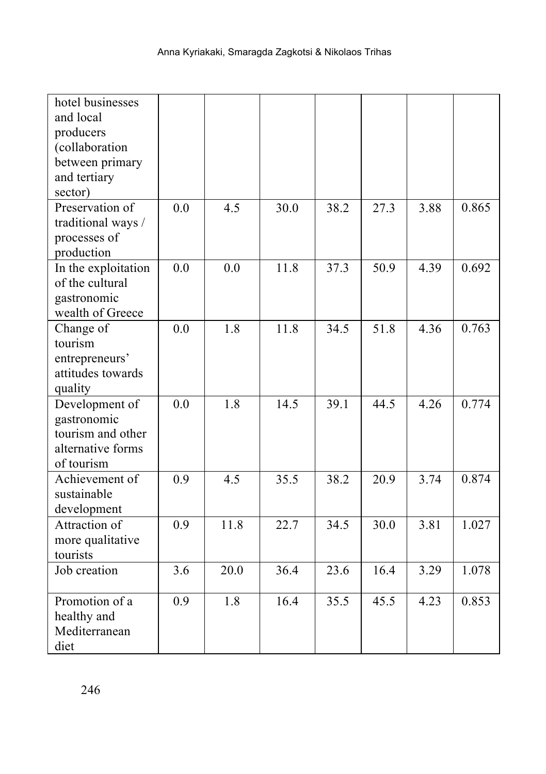| hotel businesses    |     |      |      |      |      |      |       |
|---------------------|-----|------|------|------|------|------|-------|
| and local           |     |      |      |      |      |      |       |
| producers           |     |      |      |      |      |      |       |
| (collaboration      |     |      |      |      |      |      |       |
| between primary     |     |      |      |      |      |      |       |
| and tertiary        |     |      |      |      |      |      |       |
| sector)             |     |      |      |      |      |      |       |
| Preservation of     | 0.0 | 4.5  | 30.0 | 38.2 | 27.3 | 3.88 | 0.865 |
| traditional ways /  |     |      |      |      |      |      |       |
| processes of        |     |      |      |      |      |      |       |
| production          |     |      |      |      |      |      |       |
| In the exploitation | 0.0 | 0.0  | 11.8 | 37.3 | 50.9 | 4.39 | 0.692 |
| of the cultural     |     |      |      |      |      |      |       |
| gastronomic         |     |      |      |      |      |      |       |
| wealth of Greece    |     |      |      |      |      |      |       |
| Change of           | 0.0 | 1.8  | 11.8 | 34.5 | 51.8 | 4.36 | 0.763 |
| tourism             |     |      |      |      |      |      |       |
| entrepreneurs'      |     |      |      |      |      |      |       |
| attitudes towards   |     |      |      |      |      |      |       |
| quality             |     |      |      |      |      |      |       |
| Development of      | 0.0 | 1.8  | 14.5 | 39.1 | 44.5 | 4.26 | 0.774 |
| gastronomic         |     |      |      |      |      |      |       |
| tourism and other   |     |      |      |      |      |      |       |
| alternative forms   |     |      |      |      |      |      |       |
| of tourism          |     |      |      |      |      |      |       |
| Achievement of      | 0.9 | 4.5  | 35.5 | 38.2 | 20.9 | 3.74 | 0.874 |
| sustainable         |     |      |      |      |      |      |       |
| development         |     |      |      |      |      |      |       |
| Attraction of       | 0.9 | 11.8 | 22.7 | 34.5 | 30.0 | 3.81 | 1.027 |
| more qualitative    |     |      |      |      |      |      |       |
| tourists            |     |      |      |      |      |      |       |
| Job creation        | 3.6 | 20.0 | 36.4 | 23.6 | 16.4 | 3.29 | 1.078 |
| Promotion of a      | 0.9 | 1.8  | 16.4 | 35.5 | 45.5 | 4.23 | 0.853 |
| healthy and         |     |      |      |      |      |      |       |
| Mediterranean       |     |      |      |      |      |      |       |
| diet                |     |      |      |      |      |      |       |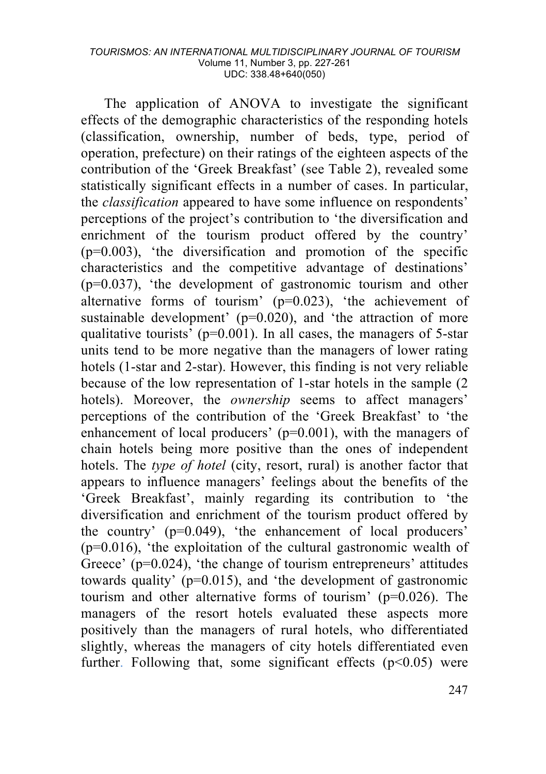#### *TOURISMOS: AN INTERNATIONAL MULTIDISCIPLINARY JOURNAL OF TOURISM* Volume 11, Number 3, pp. 227-261 UDC: 338.48+640(050)

The application of ANOVA to investigate the significant effects of the demographic characteristics of the responding hotels (classification, ownership, number of beds, type, period of operation, prefecture) on their ratings of the eighteen aspects of the contribution of the 'Greek Breakfast' (see Table 2), revealed some statistically significant effects in a number of cases. In particular, the *classification* appeared to have some influence on respondents' perceptions of the project's contribution to 'the diversification and enrichment of the tourism product offered by the country'  $(p=0.003)$ , 'the diversification and promotion of the specific characteristics and the competitive advantage of destinations' (p=0.037), 'the development of gastronomic tourism and other alternative forms of tourism' (p=0.023), 'the achievement of sustainable development' (p=0.020), and 'the attraction of more qualitative tourists<sup> $\dot{p}$ </sup> ( $p=0.001$ ). In all cases, the managers of 5-star units tend to be more negative than the managers of lower rating hotels (1-star and 2-star). However, this finding is not very reliable because of the low representation of 1-star hotels in the sample (2 hotels). Moreover, the *ownership* seems to affect managers' perceptions of the contribution of the 'Greek Breakfast' to 'the enhancement of local producers' (p=0.001), with the managers of chain hotels being more positive than the ones of independent hotels. The *type of hotel* (city, resort, rural) is another factor that appears to influence managers' feelings about the benefits of the 'Greek Breakfast', mainly regarding its contribution to 'the diversification and enrichment of the tourism product offered by the country' (p=0.049), 'the enhancement of local producers'  $(p=0.016)$ , 'the exploitation of the cultural gastronomic wealth of Greece' (p=0.024), 'the change of tourism entrepreneurs' attitudes towards quality' (p=0.015), and 'the development of gastronomic tourism and other alternative forms of tourism' (p=0.026). The managers of the resort hotels evaluated these aspects more positively than the managers of rural hotels, who differentiated slightly, whereas the managers of city hotels differentiated even further. Following that, some significant effects  $(p<0.05)$  were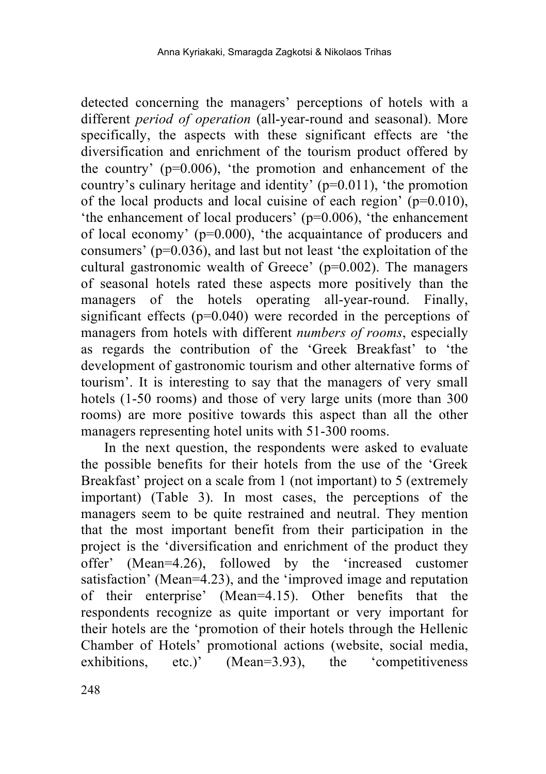detected concerning the managers' perceptions of hotels with a different *period of operation* (all-year-round and seasonal). More specifically, the aspects with these significant effects are 'the diversification and enrichment of the tourism product offered by the country' (p=0.006), 'the promotion and enhancement of the country's culinary heritage and identity' (p=0.011), 'the promotion of the local products and local cuisine of each region'  $(p=0.010)$ , 'the enhancement of local producers' (p=0.006), 'the enhancement of local economy' ( $p=0.000$ ), 'the acquaintance of producers and consumers' (p=0.036), and last but not least 'the exploitation of the cultural gastronomic wealth of Greece' (p=0.002). The managers of seasonal hotels rated these aspects more positively than the managers of the hotels operating all-year-round. Finally, significant effects  $(p=0.040)$  were recorded in the perceptions of managers from hotels with different *numbers of rooms*, especially as regards the contribution of the 'Greek Breakfast' to 'the development of gastronomic tourism and other alternative forms of tourism'. It is interesting to say that the managers of very small hotels (1-50 rooms) and those of very large units (more than 300 rooms) are more positive towards this aspect than all the other managers representing hotel units with 51-300 rooms.

In the next question, the respondents were asked to evaluate the possible benefits for their hotels from the use of the 'Greek Breakfast' project on a scale from 1 (not important) to 5 (extremely important) (Table 3). In most cases, the perceptions of the managers seem to be quite restrained and neutral. They mention that the most important benefit from their participation in the project is the 'diversification and enrichment of the product they offer' (Mean=4.26), followed by the 'increased customer satisfaction' (Mean=4.23), and the 'improved image and reputation of their enterprise' (Mean=4.15). Other benefits that the respondents recognize as quite important or very important for their hotels are the 'promotion of their hotels through the Hellenic Chamber of Hotels' promotional actions (website, social media, exhibitions, etc.)' (Mean=3.93), the 'competitiveness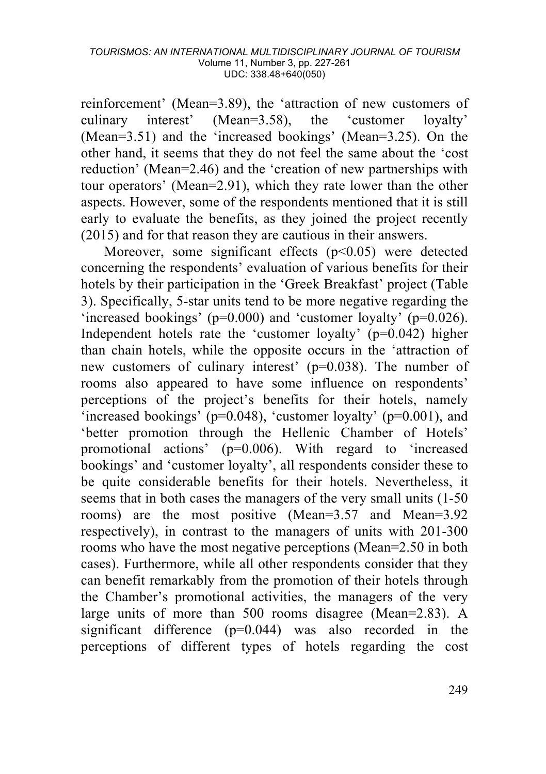reinforcement' (Mean=3.89), the 'attraction of new customers of culinary interest' (Mean=3.58), the 'customer loyalty' (Mean=3.51) and the 'increased bookings' (Mean=3.25). On the other hand, it seems that they do not feel the same about the 'cost reduction' (Mean=2.46) and the 'creation of new partnerships with tour operators' (Mean=2.91), which they rate lower than the other aspects. However, some of the respondents mentioned that it is still early to evaluate the benefits, as they joined the project recently (2015) and for that reason they are cautious in their answers.

Moreover, some significant effects  $(p<0.05)$  were detected concerning the respondents' evaluation of various benefits for their hotels by their participation in the 'Greek Breakfast' project (Table 3). Specifically, 5-star units tend to be more negative regarding the 'increased bookings' ( $p=0.000$ ) and 'customer loyalty' ( $p=0.026$ ). Independent hotels rate the 'customer loyalty' (p=0.042) higher than chain hotels, while the opposite occurs in the 'attraction of new customers of culinary interest' (p=0.038). The number of rooms also appeared to have some influence on respondents' perceptions of the project's benefits for their hotels, namely 'increased bookings' (p=0.048), 'customer loyalty' (p=0.001), and 'better promotion through the Hellenic Chamber of Hotels' promotional actions' (p=0.006). With regard to 'increased bookings' and 'customer loyalty', all respondents consider these to be quite considerable benefits for their hotels. Nevertheless, it seems that in both cases the managers of the very small units (1-50 rooms) are the most positive (Mean=3.57 and Mean=3.92 respectively), in contrast to the managers of units with 201-300 rooms who have the most negative perceptions (Mean=2.50 in both cases). Furthermore, while all other respondents consider that they can benefit remarkably from the promotion of their hotels through the Chamber's promotional activities, the managers of the very large units of more than 500 rooms disagree (Mean=2.83). A significant difference (p=0.044) was also recorded in the perceptions of different types of hotels regarding the cost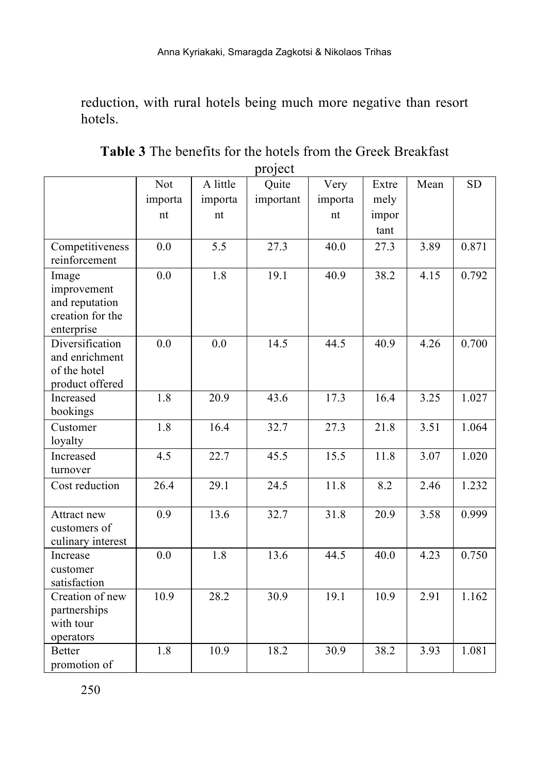reduction, with rural hotels being much more negative than resort hotels.

|                              |                  |          | $\sim$    |         |       |      |           |
|------------------------------|------------------|----------|-----------|---------|-------|------|-----------|
|                              | Not              | A little | Quite     | Very    | Extre | Mean | <b>SD</b> |
|                              | importa          | importa  | important | importa | mely  |      |           |
|                              | nt               | nt       |           | nt      | impor |      |           |
|                              |                  |          |           |         | tant  |      |           |
| Competitiveness              | 0.0              | 5.5      | 27.3      | 40.0    | 27.3  | 3.89 | 0.871     |
| reinforcement                |                  |          |           |         |       |      |           |
| Image                        | 0.0              | 1.8      | 19.1      | 40.9    | 38.2  | 4.15 | 0.792     |
| improvement                  |                  |          |           |         |       |      |           |
| and reputation               |                  |          |           |         |       |      |           |
| creation for the             |                  |          |           |         |       |      |           |
| enterprise                   |                  |          |           |         |       |      |           |
| Diversification              | 0.0              | 0.0      | 14.5      | 44.5    | 40.9  | 4.26 | 0.700     |
| and enrichment               |                  |          |           |         |       |      |           |
| of the hotel                 |                  |          |           |         |       |      |           |
| product offered<br>Increased | 1.8              | 20.9     | 43.6      | 17.3    | 16.4  | 3.25 | 1.027     |
| bookings                     |                  |          |           |         |       |      |           |
| Customer                     | $\overline{1.8}$ | 16.4     | 32.7      | 27.3    | 21.8  | 3.51 | 1.064     |
| loyalty                      |                  |          |           |         |       |      |           |
| Increased                    | 4.5              | 22.7     | 45.5      | 15.5    | 11.8  | 3.07 | 1.020     |
| turnover                     |                  |          |           |         |       |      |           |
| Cost reduction               | 26.4             | 29.1     | 24.5      | 11.8    | 8.2   | 2.46 | 1.232     |
|                              |                  |          |           |         |       |      |           |
|                              | 0.9              | 13.6     | 32.7      | 31.8    | 20.9  | 3.58 | 0.999     |
| Attract new<br>customers of  |                  |          |           |         |       |      |           |
| culinary interest            |                  |          |           |         |       |      |           |
| Increase                     | 0.0              | 1.8      | 13.6      | 44.5    | 40.0  | 4.23 | 0.750     |
| customer                     |                  |          |           |         |       |      |           |
| satisfaction                 |                  |          |           |         |       |      |           |
| Creation of new              | 10.9             | 28.2     | 30.9      | 19.1    | 10.9  | 2.91 | 1.162     |
| partnerships                 |                  |          |           |         |       |      |           |
| with tour                    |                  |          |           |         |       |      |           |
| operators                    |                  |          |           |         |       |      |           |
| <b>Better</b>                | 1.8              | 10.9     | 18.2      | 30.9    | 38.2  | 3.93 | 1.081     |
| promotion of                 |                  |          |           |         |       |      |           |

**Table 3** The benefits for the hotels from the Greek Breakfast project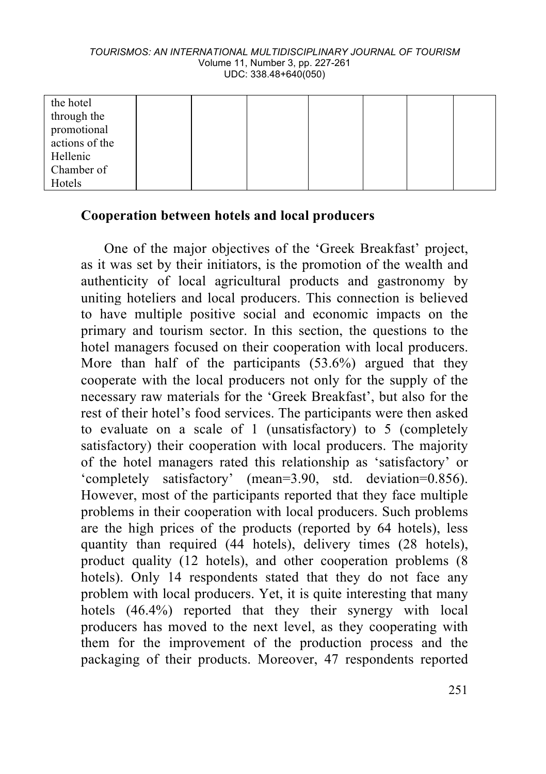#### *TOURISMOS: AN INTERNATIONAL MULTIDISCIPLINARY JOURNAL OF TOURISM* Volume 11, Number 3, pp. 227-261 UDC: 338.48+640(050)

| the hotel      |  |  |  |  |
|----------------|--|--|--|--|
| through the    |  |  |  |  |
| promotional    |  |  |  |  |
| actions of the |  |  |  |  |
| Hellenic       |  |  |  |  |
| Chamber of     |  |  |  |  |
| Hotels         |  |  |  |  |

#### **Cooperation between hotels and local producers**

One of the major objectives of the 'Greek Breakfast' project, as it was set by their initiators, is the promotion of the wealth and authenticity of local agricultural products and gastronomy by uniting hoteliers and local producers. This connection is believed to have multiple positive social and economic impacts on the primary and tourism sector. In this section, the questions to the hotel managers focused on their cooperation with local producers. More than half of the participants  $(53.6\%)$  argued that they cooperate with the local producers not only for the supply of the necessary raw materials for the 'Greek Breakfast', but also for the rest of their hotel's food services. The participants were then asked to evaluate on a scale of 1 (unsatisfactory) to 5 (completely satisfactory) their cooperation with local producers. The majority of the hotel managers rated this relationship as 'satisfactory' or 'completely satisfactory' (mean=3.90, std. deviation=0.856). However, most of the participants reported that they face multiple problems in their cooperation with local producers. Such problems are the high prices of the products (reported by 64 hotels), less quantity than required (44 hotels), delivery times (28 hotels), product quality (12 hotels), and other cooperation problems (8 hotels). Only 14 respondents stated that they do not face any problem with local producers. Yet, it is quite interesting that many hotels (46.4%) reported that they their synergy with local producers has moved to the next level, as they cooperating with them for the improvement of the production process and the packaging of their products. Moreover, 47 respondents reported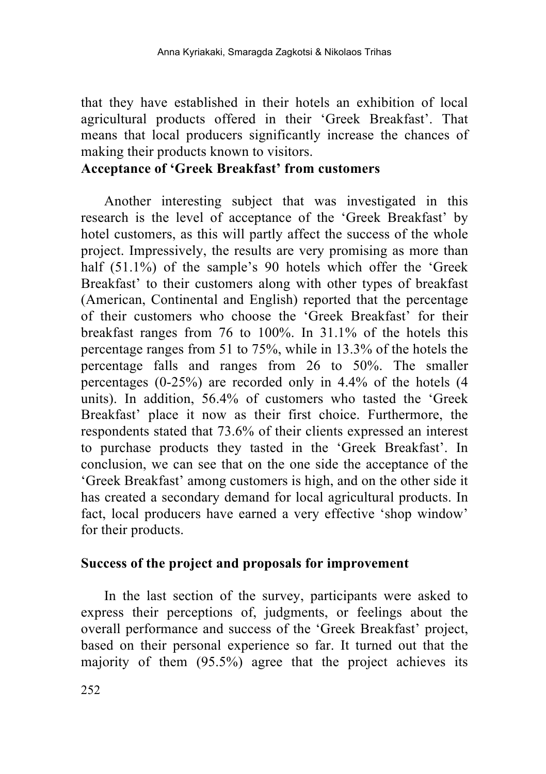that they have established in their hotels an exhibition of local agricultural products offered in their 'Greek Breakfast'. That means that local producers significantly increase the chances of making their products known to visitors.

## **Acceptance of 'Greek Breakfast' from customers**

Another interesting subject that was investigated in this research is the level of acceptance of the 'Greek Breakfast' by hotel customers, as this will partly affect the success of the whole project. Impressively, the results are very promising as more than half (51.1%) of the sample's 90 hotels which offer the 'Greek Breakfast' to their customers along with other types of breakfast (American, Continental and English) reported that the percentage of their customers who choose the 'Greek Breakfast' for their breakfast ranges from 76 to 100%. In 31.1% of the hotels this percentage ranges from 51 to 75%, while in 13.3% of the hotels the percentage falls and ranges from 26 to 50%. The smaller percentages (0-25%) are recorded only in 4.4% of the hotels (4 units). In addition, 56.4% of customers who tasted the 'Greek Breakfast' place it now as their first choice. Furthermore, the respondents stated that 73.6% of their clients expressed an interest to purchase products they tasted in the 'Greek Breakfast'. In conclusion, we can see that on the one side the acceptance of the 'Greek Breakfast' among customers is high, and on the other side it has created a secondary demand for local agricultural products. In fact, local producers have earned a very effective 'shop window' for their products.

#### **Success of the project and proposals for improvement**

In the last section of the survey, participants were asked to express their perceptions of, judgments, or feelings about the overall performance and success of the 'Greek Breakfast' project, based on their personal experience so far. It turned out that the majority of them (95.5%) agree that the project achieves its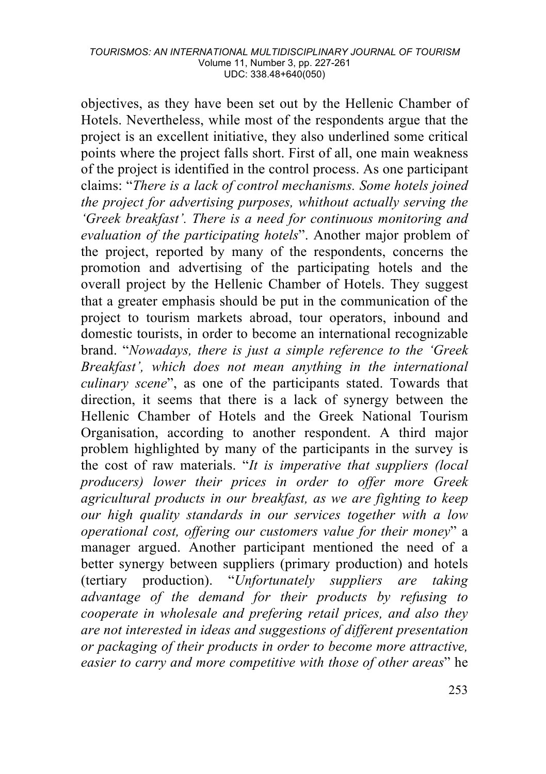objectives, as they have been set out by the Hellenic Chamber of Hotels. Nevertheless, while most of the respondents argue that the project is an excellent initiative, they also underlined some critical points where the project falls short. First of all, one main weakness of the project is identified in the control process. As one participant claims: "*There is a lack of control mechanisms. Some hotels joined the project for advertising purposes, whithout actually serving the 'Greek breakfast'. There is a need for continuous monitoring and evaluation of the participating hotels*". Another major problem of the project, reported by many of the respondents, concerns the promotion and advertising of the participating hotels and the overall project by the Hellenic Chamber of Hotels. They suggest that a greater emphasis should be put in the communication of the project to tourism markets abroad, tour operators, inbound and domestic tourists, in order to become an international recognizable brand. "*Nowadays, there is just a simple reference to the 'Greek Breakfast', which does not mean anything in the international culinary scene*", as one of the participants stated. Towards that direction, it seems that there is a lack of synergy between the Hellenic Chamber of Hotels and the Greek National Tourism Organisation, according to another respondent. A third major problem highlighted by many of the participants in the survey is the cost of raw materials. "*It is imperative that suppliers (local producers) lower their prices in order to offer more Greek agricultural products in our breakfast, as we are fighting to keep our high quality standards in our services together with a low operational cost, offering our customers value for their money*" a manager argued. Another participant mentioned the need of a better synergy between suppliers (primary production) and hotels (tertiary production). "*Unfortunately suppliers are taking advantage of the demand for their products by refusing to cooperate in wholesale and prefering retail prices, and also they are not interested in ideas and suggestions of different presentation or packaging of their products in order to become more attractive, easier to carry and more competitive with those of other areas*" he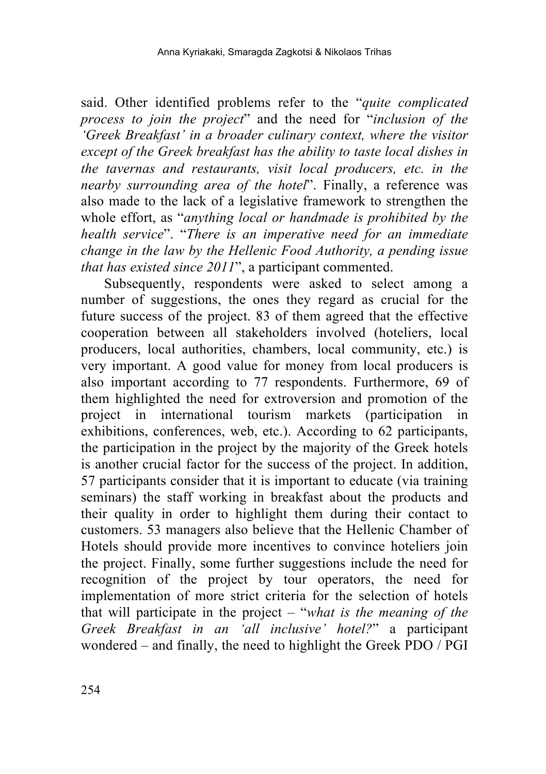said. Other identified problems refer to the "*quite complicated process to join the project*" and the need for "*inclusion of the 'Greek Breakfast' in a broader culinary context, where the visitor except of the Greek breakfast has the ability to taste local dishes in the tavernas and restaurants, visit local producers, etc. in the nearby surrounding area of the hotel*". Finally, a reference was also made to the lack of a legislative framework to strengthen the whole effort, as "*anything local or handmade is prohibited by the health service*". "*There is an imperative need for an immediate change in the law by the Hellenic Food Authority, a pending issue that has existed since 2011*", a participant commented.

Subsequently, respondents were asked to select among a number of suggestions, the ones they regard as crucial for the future success of the project. 83 of them agreed that the effective cooperation between all stakeholders involved (hoteliers, local producers, local authorities, chambers, local community, etc.) is very important. A good value for money from local producers is also important according to 77 respondents. Furthermore, 69 of them highlighted the need for extroversion and promotion of the project in international tourism markets (participation in exhibitions, conferences, web, etc.). According to 62 participants, the participation in the project by the majority of the Greek hotels is another crucial factor for the success of the project. In addition, 57 participants consider that it is important to educate (via training seminars) the staff working in breakfast about the products and their quality in order to highlight them during their contact to customers. 53 managers also believe that the Hellenic Chamber of Hotels should provide more incentives to convince hoteliers join the project. Finally, some further suggestions include the need for recognition of the project by tour operators, the need for implementation of more strict criteria for the selection of hotels that will participate in the project – "*what is the meaning of the Greek Breakfast in an 'all inclusive' hotel?*" a participant wondered – and finally, the need to highlight the Greek PDO / PGI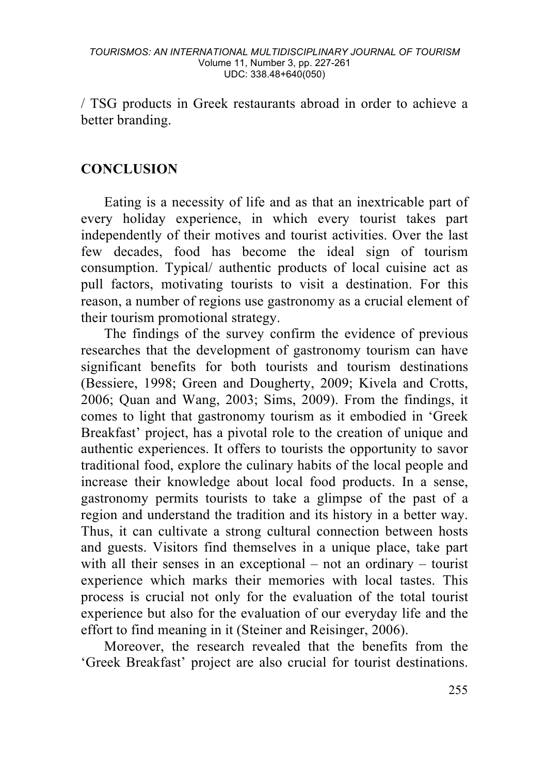/ TSG products in Greek restaurants abroad in order to achieve a better branding.

### **CONCLUSION**

Eating is a necessity of life and as that an inextricable part of every holiday experience, in which every tourist takes part independently of their motives and tourist activities. Over the last few decades, food has become the ideal sign of tourism consumption. Typical/ authentic products of local cuisine act as pull factors, motivating tourists to visit a destination. For this reason, a number of regions use gastronomy as a crucial element of their tourism promotional strategy.

The findings of the survey confirm the evidence of previous researches that the development of gastronomy tourism can have significant benefits for both tourists and tourism destinations (Bessiere, 1998; Green and Dougherty, 2009; Kivela and Crotts, 2006; Quan and Wang, 2003; Sims, 2009). From the findings, it comes to light that gastronomy tourism as it embodied in 'Greek Breakfast' project, has a pivotal role to the creation of unique and authentic experiences. It offers to tourists the opportunity to savor traditional food, explore the culinary habits of the local people and increase their knowledge about local food products. In a sense, gastronomy permits tourists to take a glimpse of the past of a region and understand the tradition and its history in a better way. Thus, it can cultivate a strong cultural connection between hosts and guests. Visitors find themselves in a unique place, take part with all their senses in an exceptional – not an ordinary – tourist experience which marks their memories with local tastes. This process is crucial not only for the evaluation of the total tourist experience but also for the evaluation of our everyday life and the effort to find meaning in it (Steiner and Reisinger, 2006).

Moreover, the research revealed that the benefits from the 'Greek Breakfast' project are also crucial for tourist destinations.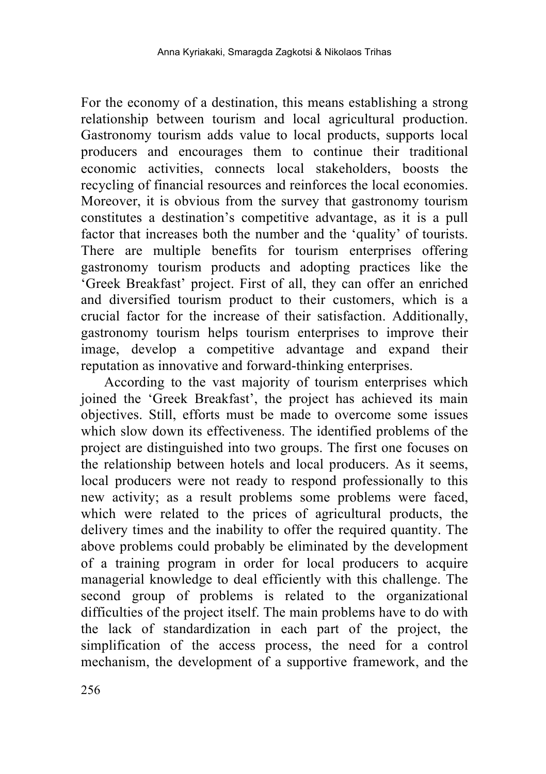For the economy of a destination, this means establishing a strong relationship between tourism and local agricultural production. Gastronomy tourism adds value to local products, supports local producers and encourages them to continue their traditional economic activities, connects local stakeholders, boosts the recycling of financial resources and reinforces the local economies. Moreover, it is obvious from the survey that gastronomy tourism constitutes a destination's competitive advantage, as it is a pull factor that increases both the number and the 'quality' of tourists. There are multiple benefits for tourism enterprises offering gastronomy tourism products and adopting practices like the 'Greek Breakfast' project. First of all, they can offer an enriched and diversified tourism product to their customers, which is a crucial factor for the increase of their satisfaction. Additionally, gastronomy tourism helps tourism enterprises to improve their image, develop a competitive advantage and expand their reputation as innovative and forward-thinking enterprises.

According to the vast majority of tourism enterprises which joined the 'Greek Breakfast', the project has achieved its main objectives. Still, efforts must be made to overcome some issues which slow down its effectiveness. The identified problems of the project are distinguished into two groups. The first one focuses on the relationship between hotels and local producers. As it seems, local producers were not ready to respond professionally to this new activity; as a result problems some problems were faced, which were related to the prices of agricultural products, the delivery times and the inability to offer the required quantity. The above problems could probably be eliminated by the development of a training program in order for local producers to acquire managerial knowledge to deal efficiently with this challenge. The second group of problems is related to the organizational difficulties of the project itself. The main problems have to do with the lack of standardization in each part of the project, the simplification of the access process, the need for a control mechanism, the development of a supportive framework, and the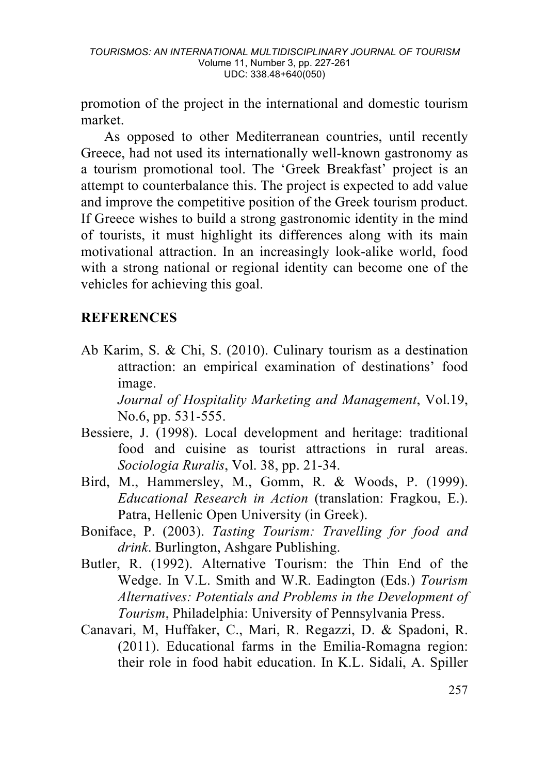promotion of the project in the international and domestic tourism market.

As opposed to other Mediterranean countries, until recently Greece, had not used its internationally well-known gastronomy as a tourism promotional tool. The 'Greek Breakfast' project is an attempt to counterbalance this. The project is expected to add value and improve the competitive position of the Greek tourism product. If Greece wishes to build a strong gastronomic identity in the mind of tourists, it must highlight its differences along with its main motivational attraction. In an increasingly look-alike world, food with a strong national or regional identity can become one of the vehicles for achieving this goal.

# **REFERENCES**

Ab Karim, S. & Chi, S. (2010). Culinary tourism as a destination attraction: an empirical examination of destinations' food image.

*Journal of Hospitality Marketing and Management*, Vol.19, No.6, pp. 531-555.

- Bessiere, J. (1998). Local development and heritage: traditional food and cuisine as tourist attractions in rural areas. *Sociologia Ruralis*, Vol. 38, pp. 21-34.
- Bird, Μ., Hammersley, Μ., Gomm, R. & Woods, P. (1999). *Educational Research in Action* (translation: Fragkou, E.). Patra, Hellenic Open University (in Greek).
- Boniface, P. (2003). *Tasting Tourism: Travelling for food and drink*. Burlington, Ashgare Publishing.
- Butler, R. (1992). Alternative Tourism: the Thin End of the Wedge. In V.L. Smith and W.R. Eadington (Eds.) *Tourism Alternatives: Potentials and Problems in the Development of Tourism*, Philadelphia: University of Pennsylvania Press.
- Canavari, M, Huffaker, C., Mari, R. Regazzi, D. & Spadoni, R. (2011). Educational farms in the Emilia-Romagna region: their role in food habit education. In K.L. Sidali, A. Spiller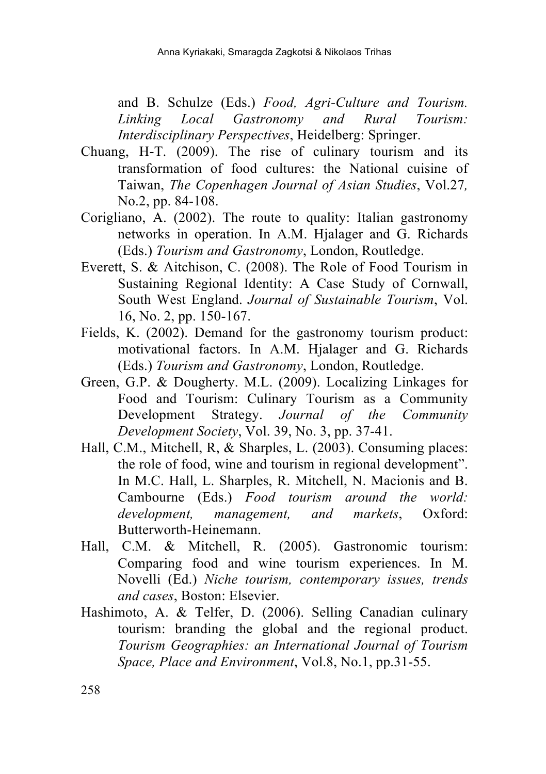and B. Schulze (Eds.) *Food, Agri-Culture and Tourism. Linking Local Gastronomy and Rural Tourism: Interdisciplinary Perspectives*, Heidelberg: Springer.

- Chuang, H-T. (2009). The rise of culinary tourism and its transformation of food cultures: the National cuisine of Taiwan, *The Copenhagen Journal of Asian Studies*, Vol.27*,*  No.2, pp. 84-108.
- Corigliano, A. (2002). The route to quality: Italian gastronomy networks in operation. In A.M. Hjalager and G. Richards (Eds.) *Tourism and Gastronomy*, London, Routledge.
- Everett, S. & Aitchison, C. (2008). The Role of Food Tourism in Sustaining Regional Identity: A Case Study of Cornwall, South West England. *Journal of Sustainable Tourism*, Vol. 16, No. 2, pp. 150-167.
- Fields, K. (2002). Demand for the gastronomy tourism product: motivational factors. In A.M. Hjalager and G. Richards (Eds.) *Tourism and Gastronomy*, London, Routledge.
- Green, G.P. & Dougherty. M.L. (2009). Localizing Linkages for Food and Tourism: Culinary Tourism as a Community Development Strategy. *Journal of the Community Development Society*, Vol. 39, No. 3, pp. 37-41.
- Hall, C.M., Mitchell, R, & Sharples, L. (2003). Consuming places: the role of food, wine and tourism in regional development". In M.C. Hall, L. Sharples, R. Mitchell, N. Macionis and B. Cambourne (Eds.) *Food tourism around the world: development, management, and markets*, Oxford: Butterworth-Heinemann.
- Hall, C.M. & Mitchell, R. (2005). Gastronomic tourism: Comparing food and wine tourism experiences. In M. Novelli (Ed.) *Niche tourism, contemporary issues, trends and cases*, Boston: Elsevier.
- Hashimoto, A. & Telfer, D. (2006). Selling Canadian culinary tourism: branding the global and the regional product. *Tourism Geographies: an International Journal of Tourism Space, Place and Environment*, Vol.8, No.1, pp.31-55.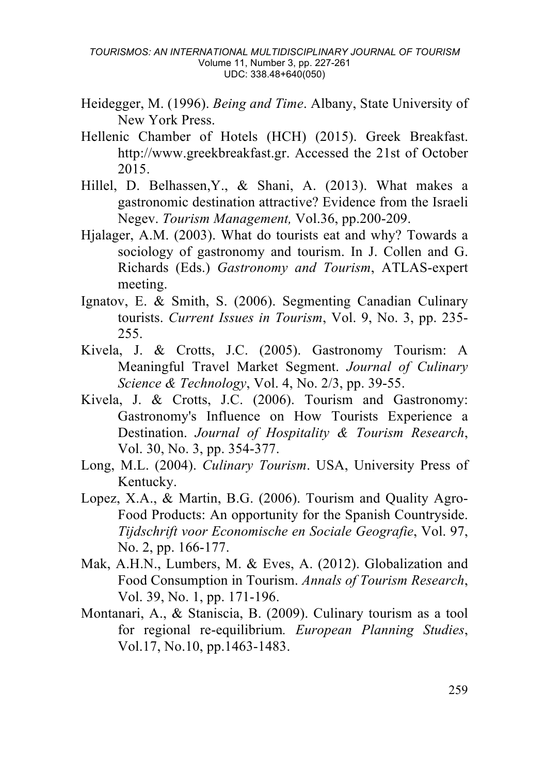- Heidegger, M. (1996). *Being and Time*. Albany, State University of New York Press.
- Hellenic Chamber of Hotels (HCH) (2015). Greek Breakfast. http://www.greekbreakfast.gr. Accessed the 21st of October 2015.
- Hillel, D. Belhassen,Y., & Shani, A. (2013). What makes a gastronomic destination attractive? Evidence from the Israeli Negev. *Tourism Management,* Vol.36, pp.200-209.
- Hjalager, A.M. (2003). What do tourists eat and why? Towards a sociology of gastronomy and tourism. In J. Collen and G. Richards (Eds.) *Gastronomy and Tourism*, ATLAS-expert meeting.
- Ignatov, E. & Smith, S. (2006). Segmenting Canadian Culinary tourists. *Current Issues in Tourism*, Vol. 9, No. 3, pp. 235- 255.
- Kivela, J. & Crotts, J.C. (2005). Gastronomy Tourism: A Meaningful Travel Market Segment. *Journal of Culinary Science & Technology*, Vol. 4, No. 2/3, pp. 39-55.
- Kivela, J. & Crotts, J.C. (2006). Tourism and Gastronomy: Gastronomy's Influence on How Tourists Experience a Destination. *Journal of Hospitality & Tourism Research*, Vol. 30, No. 3, pp. 354-377.
- Long, M.L. (2004). *Culinary Tourism*. USA, University Press of Kentucky.
- Lopez, X.A., & Martin, B.G. (2006). Tourism and Quality Agro-Food Products: An opportunity for the Spanish Countryside. *Tijdschrift voor Economische en Sociale Geografie*, Vol. 97, No. 2, pp. 166-177.
- Mak, A.H.N., Lumbers, M. & Eves, A. (2012). Globalization and Food Consumption in Tourism. *Annals of Tourism Research*, Vol. 39, No. 1, pp. 171-196.
- Montanari, A., & Staniscia, B. (2009). Culinary tourism as a tool for regional re-equilibrium*. European Planning Studies*, Vol.17, No.10, pp.1463-1483.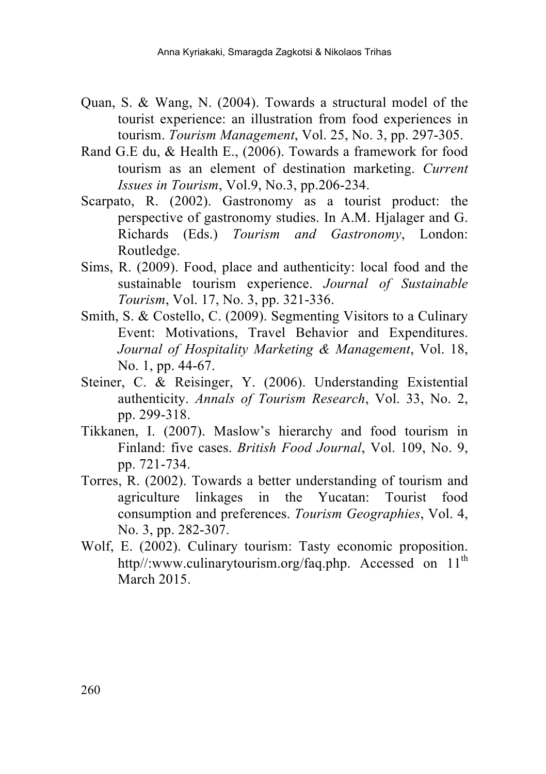- Quan, S. & Wang, N. (2004). Towards a structural model of the tourist experience: an illustration from food experiences in tourism. *Tourism Management*, Vol. 25, No. 3, pp. 297-305.
- Rand G.E du, & Health E., (2006). Towards a framework for food tourism as an element of destination marketing. *Current Issues in Tourism*, Vol.9, No.3, pp.206-234.
- Scarpato, R. (2002). Gastronomy as a tourist product: the perspective of gastronomy studies. In A.M. Hjalager and G. Richards (Eds.) *Tourism and Gastronomy*, London: Routledge.
- Sims, R. (2009). Food, place and authenticity: local food and the sustainable tourism experience. *Journal of Sustainable Tourism*, Vol. 17, No. 3, pp. 321-336.
- Smith, S. & Costello, C. (2009). Segmenting Visitors to a Culinary Event: Motivations, Travel Behavior and Expenditures. *Journal of Hospitality Marketing & Management*, Vol. 18, No. 1, pp. 44-67.
- Steiner, C. & Reisinger, Y. (2006). Understanding Existential authenticity. *Annals of Tourism Research*, Vol. 33, No. 2, pp. 299-318.
- Tikkanen, I. (2007). Maslow's hierarchy and food tourism in Finland: five cases. *British Food Journal*, Vol. 109, No. 9, pp. 721-734.
- Torres, R. (2002). Towards a better understanding of tourism and agriculture linkages in the Yucatan: Tourist food consumption and preferences. *Tourism Geographies*, Vol. 4, No. 3, pp. 282-307.
- Wolf, E. (2002). Culinary tourism: Tasty economic proposition. http//:www.culinarytourism.org/faq.php. Accessed on  $11<sup>th</sup>$ March 2015.